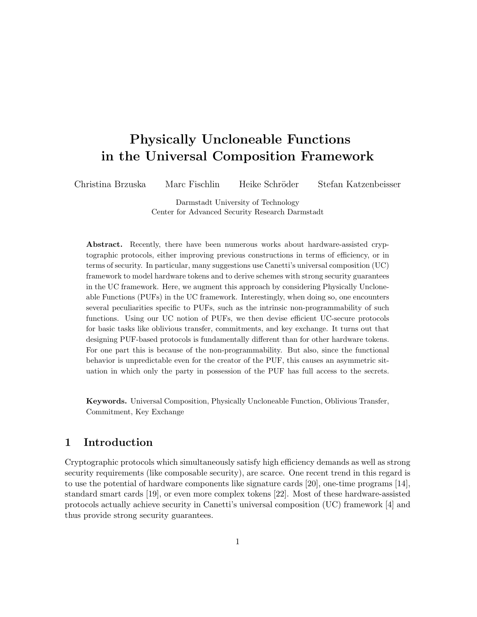# Physically Uncloneable Functions in the Universal Composition Framework

Christina Brzuska Marc Fischlin Heike Schr¨oder Stefan Katzenbeisser

Darmstadt University of Technology Center for Advanced Security Research Darmstadt

Abstract. Recently, there have been numerous works about hardware-assisted cryptographic protocols, either improving previous constructions in terms of efficiency, or in terms of security. In particular, many suggestions use Canetti's universal composition (UC) framework to model hardware tokens and to derive schemes with strong security guarantees in the UC framework. Here, we augment this approach by considering Physically Uncloneable Functions (PUFs) in the UC framework. Interestingly, when doing so, one encounters several peculiarities specific to PUFs, such as the intrinsic non-programmability of such functions. Using our UC notion of PUFs, we then devise efficient UC-secure protocols for basic tasks like oblivious transfer, commitments, and key exchange. It turns out that designing PUF-based protocols is fundamentally different than for other hardware tokens. For one part this is because of the non-programmability. But also, since the functional behavior is unpredictable even for the creator of the PUF, this causes an asymmetric situation in which only the party in possession of the PUF has full access to the secrets.

Keywords. Universal Composition, Physically Uncloneable Function, Oblivious Transfer, Commitment, Key Exchange

# 1 Introduction

Cryptographic protocols which simultaneously satisfy high efficiency demands as well as strong security requirements (like composable security), are scarce. One recent trend in this regard is to use the potential of hardware components like signature cards [20], one-time programs [14], standard smart cards [19], or even more complex tokens [22]. Most of these hardware-assisted protocols actually achieve security in Canetti's universal composition (UC) framework [4] and thus provide strong security guarantees.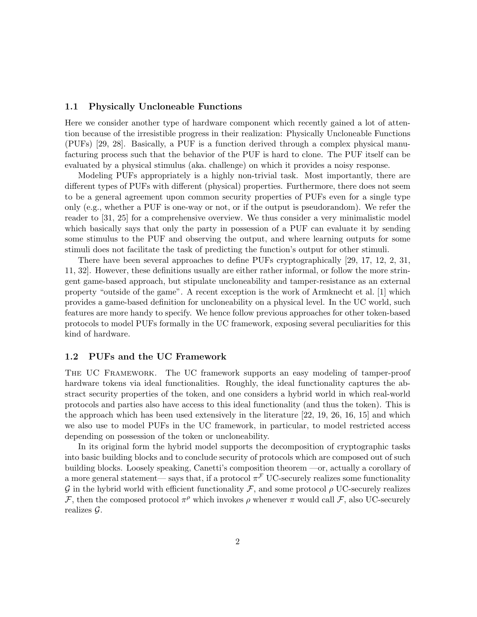### 1.1 Physically Uncloneable Functions

Here we consider another type of hardware component which recently gained a lot of attention because of the irresistible progress in their realization: Physically Uncloneable Functions (PUFs) [29, 28]. Basically, a PUF is a function derived through a complex physical manufacturing process such that the behavior of the PUF is hard to clone. The PUF itself can be evaluated by a physical stimulus (aka. challenge) on which it provides a noisy response.

Modeling PUFs appropriately is a highly non-trivial task. Most importantly, there are different types of PUFs with different (physical) properties. Furthermore, there does not seem to be a general agreement upon common security properties of PUFs even for a single type only (e.g., whether a PUF is one-way or not, or if the output is pseudorandom). We refer the reader to [31, 25] for a comprehensive overview. We thus consider a very minimalistic model which basically says that only the party in possession of a PUF can evaluate it by sending some stimulus to the PUF and observing the output, and where learning outputs for some stimuli does not facilitate the task of predicting the function's output for other stimuli.

There have been several approaches to define PUFs cryptographically [29, 17, 12, 2, 31, 11, 32]. However, these definitions usually are either rather informal, or follow the more stringent game-based approach, but stipulate uncloneability and tamper-resistance as an external property "outside of the game". A recent exception is the work of Armknecht et al. [1] which provides a game-based definition for uncloneability on a physical level. In the UC world, such features are more handy to specify. We hence follow previous approaches for other token-based protocols to model PUFs formally in the UC framework, exposing several peculiarities for this kind of hardware.

#### 1.2 PUFs and the UC Framework

The UC Framework. The UC framework supports an easy modeling of tamper-proof hardware tokens via ideal functionalities. Roughly, the ideal functionality captures the abstract security properties of the token, and one considers a hybrid world in which real-world protocols and parties also have access to this ideal functionality (and thus the token). This is the approach which has been used extensively in the literature [22, 19, 26, 16, 15] and which we also use to model PUFs in the UC framework, in particular, to model restricted access depending on possession of the token or uncloneability.

In its original form the hybrid model supports the decomposition of cryptographic tasks into basic building blocks and to conclude security of protocols which are composed out of such building blocks. Loosely speaking, Canetti's composition theorem —or, actually a corollary of a more general statement— says that, if a protocol  $\pi^{\mathcal{F}}$  UC-securely realizes some functionality G in the hybrid world with efficient functionality F, and some protocol  $\rho$  UC-securely realizes F, then the composed protocol  $\pi^{\rho}$  which invokes  $\rho$  whenever  $\pi$  would call F, also UC-securely realizes  $\mathcal{G}$ .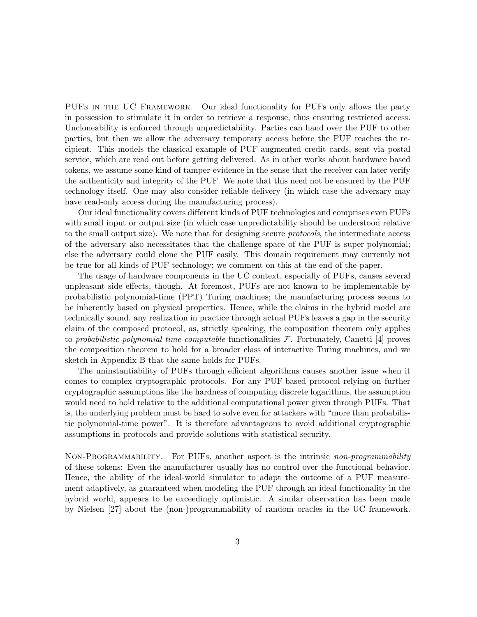PUFs in the UC Framework. Our ideal functionality for PUFs only allows the party in possession to stimulate it in order to retrieve a response, thus ensuring restricted access. Uncloneability is enforced through unpredictability. Parties can hand over the PUF to other parties, but then we allow the adversary temporary access before the PUF reaches the recipient. This models the classical example of PUF-augmented credit cards, sent via postal service, which are read out before getting delivered. As in other works about hardware based tokens, we assume some kind of tamper-evidence in the sense that the receiver can later verify the authenticity and integrity of the PUF. We note that this need not be ensured by the PUF technology itself. One may also consider reliable delivery (in which case the adversary may have read-only access during the manufacturing process).

Our ideal functionality covers different kinds of PUF technologies and comprises even PUFs with small input or output size (in which case unpredictability should be understood relative to the small output size). We note that for designing secure *protocols*, the intermediate access of the adversary also necessitates that the challenge space of the PUF is super-polynomial; else the adversary could clone the PUF easily. This domain requirement may currently not be true for all kinds of PUF technology; we comment on this at the end of the paper.

The usage of hardware components in the UC context, especially of PUFs, causes several unpleasant side effects, though. At foremost, PUFs are not known to be implementable by probabilistic polynomial-time (PPT) Turing machines; the manufacturing process seems to be inherently based on physical properties. Hence, while the claims in the hybrid model are technically sound, any realization in practice through actual PUFs leaves a gap in the security claim of the composed protocol, as, strictly speaking, the composition theorem only applies to probabilistic polynomial-time computable functionalities  $\mathcal{F}$ . Fortunately, Canetti [4] proves the composition theorem to hold for a broader class of interactive Turing machines, and we sketch in Appendix B that the same holds for PUFs.

The uninstantiability of PUFs through efficient algorithms causes another issue when it comes to complex cryptographic protocols. For any PUF-based protocol relying on further cryptographic assumptions like the hardness of computing discrete logarithms, the assumption would need to hold relative to the additional computational power given through PUFs. That is, the underlying problem must be hard to solve even for attackers with "more than probabilistic polynomial-time power". It is therefore advantageous to avoid additional cryptographic assumptions in protocols and provide solutions with statistical security.

Non-Programmability. For PUFs, another aspect is the intrinsic non-programmability of these tokens: Even the manufacturer usually has no control over the functional behavior. Hence, the ability of the ideal-world simulator to adapt the outcome of a PUF measurement adaptively, as guaranteed when modeling the PUF through an ideal functionality in the hybrid world, appears to be exceedingly optimistic. A similar observation has been made by Nielsen [27] about the (non-)programmability of random oracles in the UC framework.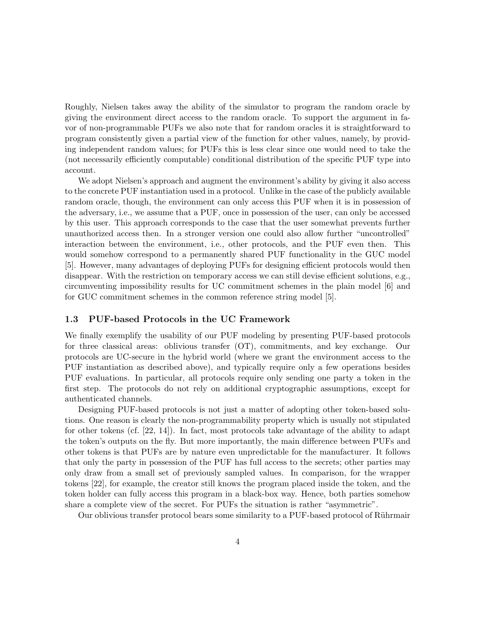Roughly, Nielsen takes away the ability of the simulator to program the random oracle by giving the environment direct access to the random oracle. To support the argument in favor of non-programmable PUFs we also note that for random oracles it is straightforward to program consistently given a partial view of the function for other values, namely, by providing independent random values; for PUFs this is less clear since one would need to take the (not necessarily efficiently computable) conditional distribution of the specific PUF type into account.

We adopt Nielsen's approach and augment the environment's ability by giving it also access to the concrete PUF instantiation used in a protocol. Unlike in the case of the publicly available random oracle, though, the environment can only access this PUF when it is in possession of the adversary, i.e., we assume that a PUF, once in possession of the user, can only be accessed by this user. This approach corresponds to the case that the user somewhat prevents further unauthorized access then. In a stronger version one could also allow further "uncontrolled" interaction between the environment, i.e., other protocols, and the PUF even then. This would somehow correspond to a permanently shared PUF functionality in the GUC model [5]. However, many advantages of deploying PUFs for designing efficient protocols would then disappear. With the restriction on temporary access we can still devise efficient solutions, e.g., circumventing impossibility results for UC commitment schemes in the plain model [6] and for GUC commitment schemes in the common reference string model [5].

# 1.3 PUF-based Protocols in the UC Framework

We finally exemplify the usability of our PUF modeling by presenting PUF-based protocols for three classical areas: oblivious transfer (OT), commitments, and key exchange. Our protocols are UC-secure in the hybrid world (where we grant the environment access to the PUF instantiation as described above), and typically require only a few operations besides PUF evaluations. In particular, all protocols require only sending one party a token in the first step. The protocols do not rely on additional cryptographic assumptions, except for authenticated channels.

Designing PUF-based protocols is not just a matter of adopting other token-based solutions. One reason is clearly the non-programmability property which is usually not stipulated for other tokens (cf. [22, 14]). In fact, most protocols take advantage of the ability to adapt the token's outputs on the fly. But more importantly, the main difference between PUFs and other tokens is that PUFs are by nature even unpredictable for the manufacturer. It follows that only the party in possession of the PUF has full access to the secrets; other parties may only draw from a small set of previously sampled values. In comparison, for the wrapper tokens [22], for example, the creator still knows the program placed inside the token, and the token holder can fully access this program in a black-box way. Hence, both parties somehow share a complete view of the secret. For PUFs the situation is rather "asymmetric".

Our oblivious transfer protocol bears some similarity to a PUF-based protocol of Rührmair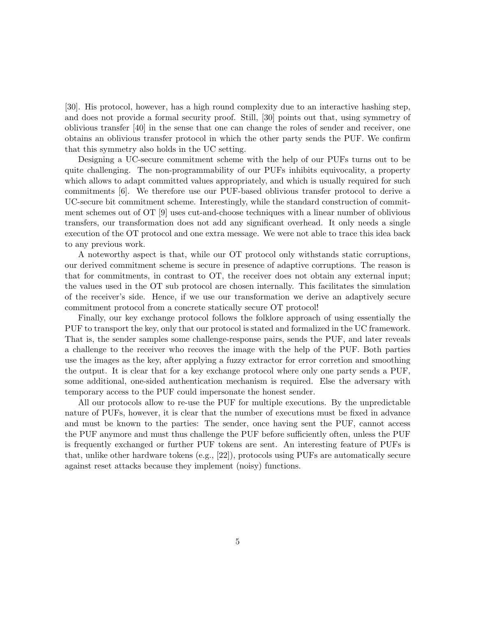[30]. His protocol, however, has a high round complexity due to an interactive hashing step, and does not provide a formal security proof. Still, [30] points out that, using symmetry of oblivious transfer [40] in the sense that one can change the roles of sender and receiver, one obtains an oblivious transfer protocol in which the other party sends the PUF. We confirm that this symmetry also holds in the UC setting.

Designing a UC-secure commitment scheme with the help of our PUFs turns out to be quite challenging. The non-programmability of our PUFs inhibits equivocality, a property which allows to adapt committed values appropriately, and which is usually required for such commitments [6]. We therefore use our PUF-based oblivious transfer protocol to derive a UC-secure bit commitment scheme. Interestingly, while the standard construction of commitment schemes out of OT [9] uses cut-and-choose techniques with a linear number of oblivious transfers, our transformation does not add any significant overhead. It only needs a single execution of the OT protocol and one extra message. We were not able to trace this idea back to any previous work.

A noteworthy aspect is that, while our OT protocol only withstands static corruptions, our derived commitment scheme is secure in presence of adaptive corruptions. The reason is that for commitments, in contrast to OT, the receiver does not obtain any external input; the values used in the OT sub protocol are chosen internally. This facilitates the simulation of the receiver's side. Hence, if we use our transformation we derive an adaptively secure commitment protocol from a concrete statically secure OT protocol!

Finally, our key exchange protocol follows the folklore approach of using essentially the PUF to transport the key, only that our protocol is stated and formalized in the UC framework. That is, the sender samples some challenge-response pairs, sends the PUF, and later reveals a challenge to the receiver who recoves the image with the help of the PUF. Both parties use the images as the key, after applying a fuzzy extractor for error corretion and smoothing the output. It is clear that for a key exchange protocol where only one party sends a PUF, some additional, one-sided authentication mechanism is required. Else the adversary with temporary access to the PUF could impersonate the honest sender.

All our protocols allow to re-use the PUF for multiple executions. By the unpredictable nature of PUFs, however, it is clear that the number of executions must be fixed in advance and must be known to the parties: The sender, once having sent the PUF, cannot access the PUF anymore and must thus challenge the PUF before sufficiently often, unless the PUF is frequently exchanged or further PUF tokens are sent. An interesting feature of PUFs is that, unlike other hardware tokens (e.g., [22]), protocols using PUFs are automatically secure against reset attacks because they implement (noisy) functions.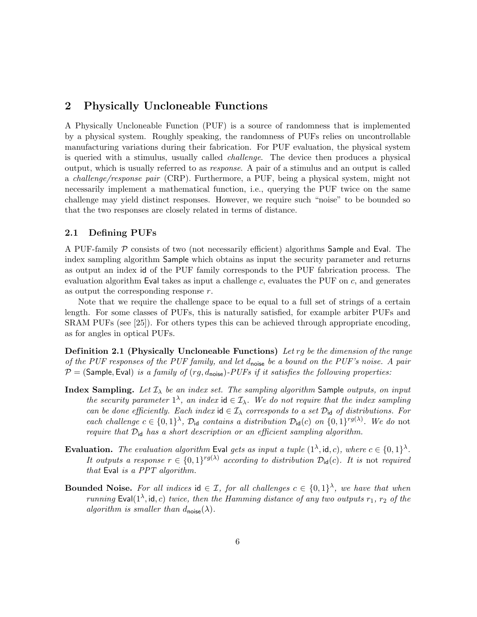# 2 Physically Uncloneable Functions

A Physically Uncloneable Function (PUF) is a source of randomness that is implemented by a physical system. Roughly speaking, the randomness of PUFs relies on uncontrollable manufacturing variations during their fabrication. For PUF evaluation, the physical system is queried with a stimulus, usually called challenge. The device then produces a physical output, which is usually referred to as response. A pair of a stimulus and an output is called a challenge/response pair (CRP). Furthermore, a PUF, being a physical system, might not necessarily implement a mathematical function, i.e., querying the PUF twice on the same challenge may yield distinct responses. However, we require such "noise" to be bounded so that the two responses are closely related in terms of distance.

# 2.1 Defining PUFs

A PUF-family  $P$  consists of two (not necessarily efficient) algorithms Sample and Eval. The index sampling algorithm Sample which obtains as input the security parameter and returns as output an index id of the PUF family corresponds to the PUF fabrication process. The evaluation algorithm Eval takes as input a challenge  $c$ , evaluates the PUF on  $c$ , and generates as output the corresponding response  $r$ .

Note that we require the challenge space to be equal to a full set of strings of a certain length. For some classes of PUFs, this is naturally satisfied, for example arbiter PUFs and SRAM PUFs (see [25]). For others types this can be achieved through appropriate encoding, as for angles in optical PUFs.

**Definition 2.1 (Physically Uncloneable Functions)** Let rg be the dimension of the range of the PUF responses of the PUF family, and let  $d_{\text{noise}}$  be a bound on the PUF's noise. A pair  $P = ($ Sample, Eval) is a family of  $(rg, d_{noise})$ -PUFs if it satisfies the following properties:

- Index Sampling. Let  $\mathcal{I}_{\lambda}$  be an index set. The sampling algorithm Sample outputs, on input the security parameter  $1^{\lambda}$ , an index id  $\in \mathcal{I}_{\lambda}$ . We do not require that the index sampling can be done efficiently. Each index  $id \in \mathcal{I}_{\lambda}$  corresponds to a set  $\mathcal{D}_{id}$  of distributions. For each challenge  $c \in \{0,1\}^{\lambda}$ ,  $\mathcal{D}_{\text{id}}$  contains a distribution  $\mathcal{D}_{\text{id}}(c)$  on  $\{0,1\}^{rg(\lambda)}$ . We do not require that  $\mathcal{D}_{\text{id}}$  has a short description or an efficient sampling algorithm.
- **Evaluation.** The evaluation algorithm Eval gets as input a tuple  $(1^{\lambda}, id, c)$ , where  $c \in \{0, 1\}^{\lambda}$ . It outputs a response  $r \in \{0,1\}^{rg(\lambda)}$  according to distribution  $\mathcal{D}_{\mathsf{id}}(c)$ . It is not required that Eval is a PPT algorithm.
- **Bounded Noise.** For all indices id  $\in \mathcal{I}$ , for all challenges  $c \in \{0,1\}^{\lambda}$ , we have that when running Eval $(1^{\lambda}, id, c)$  twice, then the Hamming distance of any two outputs  $r_1$ ,  $r_2$  of the algorithm is smaller than  $d_{\text{noise}}(\lambda)$ .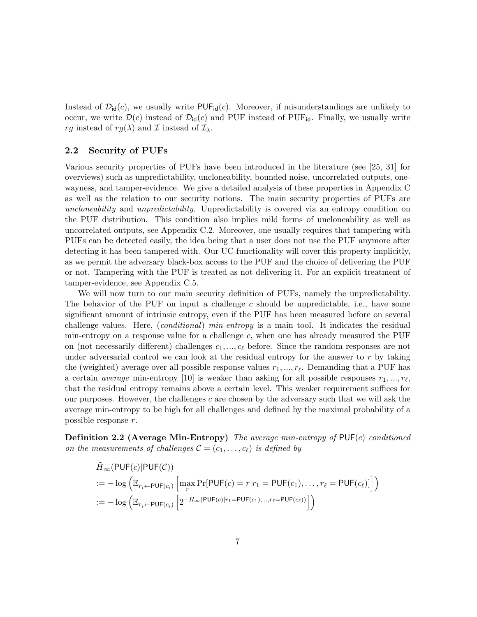Instead of  $\mathcal{D}_{\text{id}}(c)$ , we usually write PUF<sub>id</sub>(c). Moreover, if misunderstandings are unlikely to occur, we write  $\mathcal{D}(c)$  instead of  $\mathcal{D}_{\text{id}}(c)$  and PUF instead of PUF<sub>id</sub>. Finally, we usually write *rg* instead of  $rg(\lambda)$  and *I* instead of  $\mathcal{I}_{\lambda}$ .

#### 2.2 Security of PUFs

Various security properties of PUFs have been introduced in the literature (see [25, 31] for overviews) such as unpredictability, uncloneability, bounded noise, uncorrelated outputs, onewayness, and tamper-evidence. We give a detailed analysis of these properties in Appendix C as well as the relation to our security notions. The main security properties of PUFs are uncloneability and unpredictability. Unpredictability is covered via an entropy condition on the PUF distribution. This condition also implies mild forms of uncloneability as well as uncorrelated outputs, see Appendix C.2. Moreover, one usually requires that tampering with PUFs can be detected easily, the idea being that a user does not use the PUF anymore after detecting it has been tampered with. Our UC-functionality will cover this property implicitly, as we permit the adversary black-box access to the PUF and the choice of delivering the PUF or not. Tampering with the PUF is treated as not delivering it. For an explicit treatment of tamper-evidence, see Appendix C.5.

We will now turn to our main security definition of PUFs, namely the unpredictability. The behavior of the PUF on input a challenge c should be unpredictable, i.e., have some significant amount of intrinsic entropy, even if the PUF has been measured before on several challenge values. Here, (*conditional*) min-entropy is a main tool. It indicates the residual min-entropy on a response value for a challenge c, when one has already measured the PUF on (not necessarily different) challenges  $c_1, ..., c_\ell$  before. Since the random responses are not under adversarial control we can look at the residual entropy for the answer to r by taking the (weighted) average over all possible response values  $r_1, ..., r_\ell$ . Demanding that a PUF has a certain *average* min-entropy [10] is weaker than asking for all possible responses  $r_1, ..., r_\ell$ , that the residual entropy remains above a certain level. This weaker requirement suffices for our purposes. However, the challenges c are chosen by the adversary such that we will ask the average min-entropy to be high for all challenges and defined by the maximal probability of a possible response r.

**Definition 2.2 (Average Min-Entropy)** The average min-entropy of  $PUF(c)$  conditioned on the measurements of challenges  $\mathcal{C} = (c_1, \ldots, c_\ell)$  is defined by

$$
\tilde{H}_{\infty}(\text{PUF}(c)|\text{PUF}(\mathcal{C}))
$$
\n
$$
:= -\log \left( \mathbb{E}_{r_i \leftarrow \text{PUF}(c_i)} \left[ \max_{r} \Pr[\text{PUF}(c) = r | r_1 = \text{PUF}(c_1), \dots, r_\ell = \text{PUF}(c_\ell)] \right] \right)
$$
\n
$$
:= -\log \left( \mathbb{E}_{r_i \leftarrow \text{PUF}(c_i)} \left[ 2^{-H_{\infty}(\text{PUF}(c) | r_1 = \text{PUF}(c_1), \dots, r_\ell = \text{PUF}(c_\ell))} \right] \right)
$$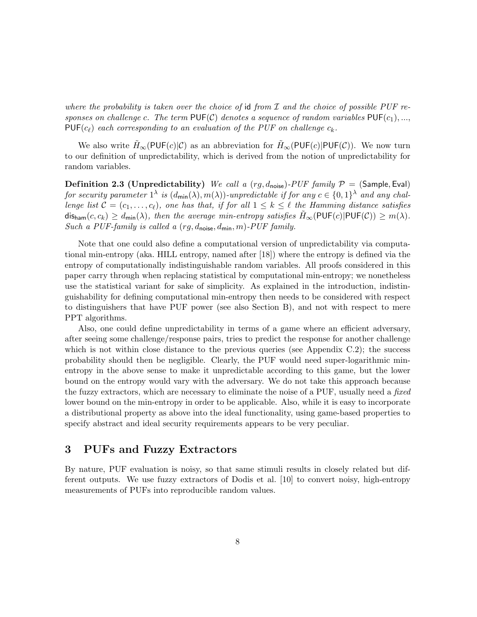where the probability is taken over the choice of id from  $\mathcal I$  and the choice of possible PUF responses on challenge c. The term  $\text{PUF}(\mathcal{C})$  denotes a sequence of random variables  $\text{PUF}(c_1), ...,$  $PUF(c_{\ell})$  each corresponding to an evaluation of the PUF on challenge  $c_k$ .

We also write  $H_{\infty}(\text{PUF}(c)|\mathcal{C})$  as an abbreviation for  $H_{\infty}(\text{PUF}(c)|\text{PUF}(\mathcal{C}))$ . We now turn to our definition of unpredictability, which is derived from the notion of unpredictability for random variables.

Definition 2.3 (Unpredictability) We call a  $(rg, d_{noise})$ -PUF family  $P =$  (Sample, Eval) for security parameter  $1^{\lambda}$  is  $(d_{\text{min}}(\lambda), m(\lambda))$ -unpredictable if for any  $c \in \{0,1\}^{\lambda}$  and any challenge list  $\mathcal{C} = (c_1, \ldots, c_\ell)$ , one has that, if for all  $1 \leq k \leq \ell$  the Hamming distance satisfies  $dis_{\text{ham}}(c, c_k) \geq d_{\text{min}}(\lambda)$ , then the average min-entropy satisfies  $\tilde{H}_{\infty}(\text{PUF}(c)|\text{PUF}(C)) \geq m(\lambda)$ . Such a PUF-family is called a  $(rg, d_{\text{noise}}, d_{\text{min}}, m)$ -PUF family.

Note that one could also define a computational version of unpredictability via computational min-entropy (aka. HILL entropy, named after [18]) where the entropy is defined via the entropy of computationally indistinguishable random variables. All proofs considered in this paper carry through when replacing statistical by computational min-entropy; we nonetheless use the statistical variant for sake of simplicity. As explained in the introduction, indistinguishability for defining computational min-entropy then needs to be considered with respect to distinguishers that have PUF power (see also Section B), and not with respect to mere PPT algorithms.

Also, one could define unpredictability in terms of a game where an efficient adversary, after seeing some challenge/response pairs, tries to predict the response for another challenge which is not within close distance to the previous queries (see Appendix C.2); the success probability should then be negligible. Clearly, the PUF would need super-logarithmic minentropy in the above sense to make it unpredictable according to this game, but the lower bound on the entropy would vary with the adversary. We do not take this approach because the fuzzy extractors, which are necessary to eliminate the noise of a PUF, usually need a *fixed* lower bound on the min-entropy in order to be applicable. Also, while it is easy to incorporate a distributional property as above into the ideal functionality, using game-based properties to specify abstract and ideal security requirements appears to be very peculiar.

# 3 PUFs and Fuzzy Extractors

By nature, PUF evaluation is noisy, so that same stimuli results in closely related but different outputs. We use fuzzy extractors of Dodis et al. [10] to convert noisy, high-entropy measurements of PUFs into reproducible random values.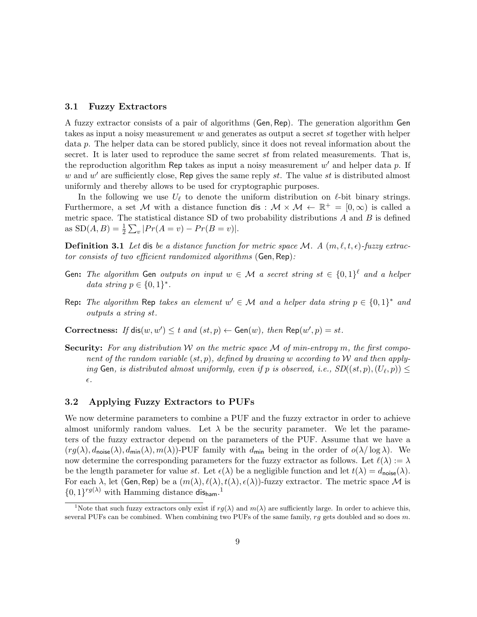#### 3.1 Fuzzy Extractors

A fuzzy extractor consists of a pair of algorithms (Gen, Rep). The generation algorithm Gen takes as input a noisy measurement w and generates as output a secret st together with helper data p. The helper data can be stored publicly, since it does not reveal information about the secret. It is later used to reproduce the same secret  $st$  from related measurements. That is, the reproduction algorithm Rep takes as input a noisy measurement  $w'$  and helper data p. If w and  $w'$  are sufficiently close, Rep gives the same reply  $st$ . The value  $st$  is distributed almost uniformly and thereby allows to be used for cryptographic purposes.

In the following we use  $U_{\ell}$  to denote the uniform distribution on  $\ell$ -bit binary strings. Furthermore, a set M with a distance function  $dis: M \times M \leftarrow \mathbb{R}^+ = [0, \infty)$  is called a metric space. The statistical distance SD of two probability distributions  $A$  and  $B$  is defined as  $SD(A, B) = \frac{1}{2} \sum_{v} |Pr(A = v) - Pr(B = v)|.$ 

**Definition 3.1** Let dis be a distance function for metric space M. A  $(m, \ell, t, \epsilon)$ -fuzzy extractor consists of two efficient randomized algorithms (Gen, Rep):

- Gen: The algorithm Gen outputs on input  $w \in \mathcal{M}$  a secret string  $st \in \{0,1\}^{\ell}$  and a helper data string  $p \in \{0,1\}^*$ .
- Rep: The algorithm Rep takes an element  $w' \in \mathcal{M}$  and a helper data string  $p \in \{0,1\}^*$  and outputs a string st.
- Correctness: If  $dis(w, w') \leq t$  and  $(st, p) \leftarrow Gen(w)$ , then  $Rep(w', p) = st$ .
- **Security:** For any distribution W on the metric space M of min-entropy m, the first component of the random variable  $(st, p)$ , defined by drawing w according to W and then applying Gen, is distributed almost uniformly, even if p is observed, i.e.,  $SD((st, p), (U_{\ell}, p)) \leq$  $\epsilon$ .

### 3.2 Applying Fuzzy Extractors to PUFs

We now determine parameters to combine a PUF and the fuzzy extractor in order to achieve almost uniformly random values. Let  $\lambda$  be the security parameter. We let the parameters of the fuzzy extractor depend on the parameters of the PUF. Assume that we have a  $(rq(\lambda), d_{\text{noise}}(\lambda), d_{\text{min}}(\lambda), m(\lambda))$ -PUF family with  $d_{\text{min}}$  being in the order of  $o(\lambda/\log \lambda)$ . We now determine the corresponding parameters for the fuzzy extractor as follows. Let  $\ell(\lambda) := \lambda$ be the length parameter for value st. Let  $\epsilon(\lambda)$  be a negligible function and let  $t(\lambda) = d_{\text{noise}}(\lambda)$ . For each  $\lambda$ , let (Gen, Rep) be a  $(m(\lambda), \ell(\lambda), t(\lambda), \epsilon(\lambda))$ -fuzzy extractor. The metric space M is  $\{0,1\}^{rg(\lambda)}$  with Hamming distance dis<sub>ham</sub>.<sup>1</sup>

<sup>&</sup>lt;sup>1</sup>Note that such fuzzy extractors only exist if  $r_q(\lambda)$  and  $m(\lambda)$  are sufficiently large. In order to achieve this, several PUFs can be combined. When combining two PUFs of the same family,  $rg$  gets doubled and so does  $m$ .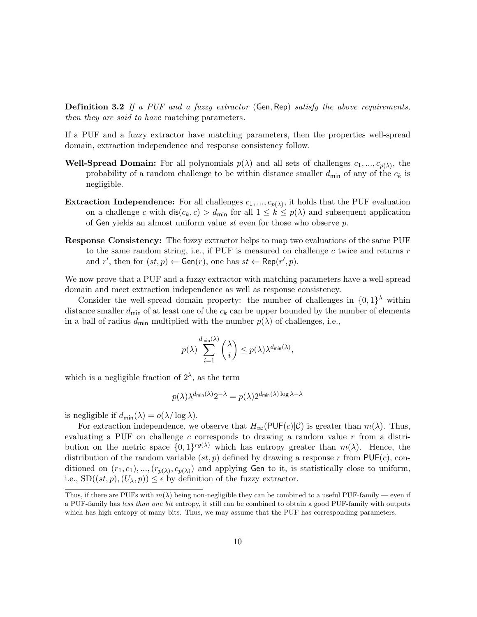**Definition 3.2** If a PUF and a fuzzy extractor (Gen, Rep) satisfy the above requirements, then they are said to have matching parameters.

If a PUF and a fuzzy extractor have matching parameters, then the properties well-spread domain, extraction independence and response consistency follow.

- **Well-Spread Domain:** For all polynomials  $p(\lambda)$  and all sets of challenges  $c_1, ..., c_{p(\lambda)}$ , the probability of a random challenge to be within distance smaller  $d_{\text{min}}$  of any of the  $c_k$  is negligible.
- **Extraction Independence:** For all challenges  $c_1, ..., c_{p(\lambda)}$ , it holds that the PUF evaluation on a challenge c with  $dis(c_k, c) > d_{\text{min}}$  for all  $1 \leq k \leq p(\lambda)$  and subsequent application of Gen yields an almost uniform value  $st$  even for those who observe  $p$ .
- Response Consistency: The fuzzy extractor helps to map two evaluations of the same PUF to the same random string, i.e., if PUF is measured on challenge c twice and returns  $r$ and r', then for  $(st, p) \leftarrow \text{Gen}(r)$ , one has  $st \leftarrow \text{Rep}(r', p)$ .

We now prove that a PUF and a fuzzy extractor with matching parameters have a well-spread domain and meet extraction independence as well as response consistency.

Consider the well-spread domain property: the number of challenges in  $\{0,1\}^{\lambda}$  within distance smaller  $d_{\text{min}}$  of at least one of the  $c_k$  can be upper bounded by the number of elements in a ball of radius  $d_{\text{min}}$  multiplied with the number  $p(\lambda)$  of challenges, i.e.,

$$
p(\lambda) \sum_{i=1}^{d_{\min}(\lambda)} {\lambda \choose i} \le p(\lambda) \lambda^{d_{\min}(\lambda)},
$$

which is a negligible fraction of  $2^{\lambda}$ , as the term

$$
p(\lambda) \lambda^{d_{\min}(\lambda)} 2^{-\lambda} = p(\lambda) 2^{d_{\min}(\lambda) \log \lambda - \lambda}
$$

is negligible if  $d_{\text{min}}(\lambda) = o(\lambda/\log \lambda)$ .

For extraction independence, we observe that  $H_{\infty}(\text{PUF}(c)|\mathcal{C})$  is greater than  $m(\lambda)$ . Thus, evaluating a PUF on challenge  $c$  corresponds to drawing a random value  $r$  from a distribution on the metric space  $\{0,1\}^{rg(\lambda)}$  which has entropy greater than  $m(\lambda)$ . Hence, the distribution of the random variable  $(st, p)$  defined by drawing a response r from PUF(c), conditioned on  $(r_1, c_1), ..., (r_{p(\lambda)}, c_{p(\lambda)})$  and applying Gen to it, is statistically close to uniform, i.e.,  $SD((st, p), (U_\lambda, p)) \leq \epsilon$  by definition of the fuzzy extractor.

Thus, if there are PUFs with  $m(\lambda)$  being non-negligible they can be combined to a useful PUF-family — even if a PUF-family has less than one bit entropy, it still can be combined to obtain a good PUF-family with outputs which has high entropy of many bits. Thus, we may assume that the PUF has corresponding parameters.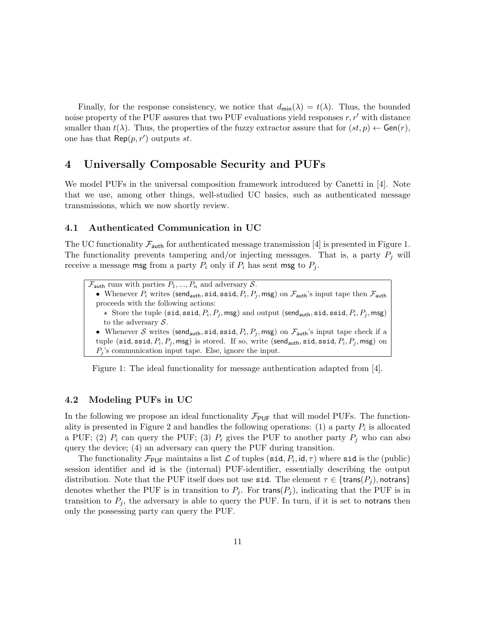Finally, for the response consistency, we notice that  $d_{\text{min}}(\lambda) = t(\lambda)$ . Thus, the bounded noise property of the PUF assures that two PUF evaluations yield responses  $r, r'$  with distance smaller than  $t(\lambda)$ . Thus, the properties of the fuzzy extractor assure that for  $(st, p) \leftarrow$  Gen $(r)$ , one has that  $\mathsf{Rep}(p, r')$  outputs st.

# 4 Universally Composable Security and PUFs

We model PUFs in the universal composition framework introduced by Canetti in [4]. Note that we use, among other things, well-studied UC basics, such as authenticated message transmissions, which we now shortly review.

# 4.1 Authenticated Communication in UC

The UC functionality  $\mathcal{F}_{\text{auth}}$  for authenticated message transmission [4] is presented in Figure 1. The functionality prevents tampering and/or injecting messages. That is, a party  $P_i$  will receive a message msg from a party  $P_i$  only if  $P_i$  has sent msg to  $P_j$ .

 $\mathcal{F}_{\text{auth}}$  runs with parties  $P_1, ..., P_n$  and adversary  $\mathcal{S}.$ • Whenever  $P_i$  writes (send<sub>auth</sub>, sid, ssid,  $P_i$ ,  $P_j$ , msg) on  $\mathcal{F}_{\mathsf{auth}}$ 's input tape then  $\mathcal{F}_{\mathsf{auth}}$ proceeds with the following actions:  $*$  Store the tuple (sid, ssid,  $P_i$ ,  $P_j$ , msg) and output (send<sub>auth</sub>, sid, ssid,  $P_i$ ,  $P_j$ , msg) to the adversary  $S$ . • Whenever S writes (send<sub>auth</sub>, sid, ssid,  $P_i$ ,  $P_j$ , msg) on  $\mathcal{F}_{\text{auth}}$ 's input tape check if a tuple (sid, ssid,  $P_i$ ,  $P_j$ , msg) is stored. If so, write (send<sub>auth</sub>, sid, ssid,  $P_i$ ,  $P_j$ , msg) on  $P_j$ 's communication input tape. Else, ignore the input.

Figure 1: The ideal functionality for message authentication adapted from [4].

# 4.2 Modeling PUFs in UC

In the following we propose an ideal functionality  $\mathcal{F}_{\text{PUF}}$  that will model PUFs. The functionality is presented in Figure 2 and handles the following operations: (1) a party  $P_i$  is allocated a PUF; (2)  $P_i$  can query the PUF; (3)  $P_i$  gives the PUF to another party  $P_j$  who can also query the device; (4) an adversary can query the PUF during transition.

The functionality  $\mathcal{F}_{\text{PUF}}$  maintains a list  $\mathcal L$  of tuples (sid,  $P_i$ , id,  $\tau$ ) where sid is the (public) session identifier and id is the (internal) PUF-identifier, essentially describing the output distribution. Note that the PUF itself does not use sid. The element  $\tau \in \{\text{trans}(P_i), \text{notrans}\}\$ denotes whether the PUF is in transition to  $P_i$ . For trans( $P_i$ ), indicating that the PUF is in transition to  $P_i$ , the adversary is able to query the PUF. In turn, if it is set to notrans then only the possessing party can query the PUF.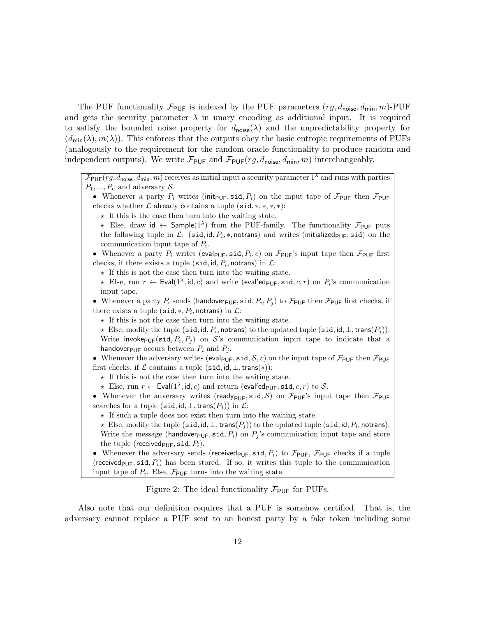The PUF functionality  $\mathcal{F}_{\text{PUF}}$  is indexed by the PUF parameters  $(rg, d_{\text{noise}}, d_{\text{min}}, m)$ -PUF and gets the security parameter  $\lambda$  in unary encoding as additional input. It is required to satisfy the bounded noise property for  $d_{\text{noise}}(\lambda)$  and the unpredictability property for  $(d_{\text{min}}(\lambda), m(\lambda))$ . This enforces that the outputs obey the basic entropic requirements of PUFs (analogously to the requirement for the random oracle functionality to produce random and independent outputs). We write  $\mathcal{F}_{\text{PUF}}$  and  $\mathcal{F}_{\text{PUF}}(rg, d_{\text{noise}}, d_{\text{min}}, m)$  interchangeably.

 $\mathcal{F}_{\text{PUF}}(rg, d_{\text{noise}}, d_{\text{min}}, m)$  receives as initial input a security parameter  $1^{\lambda}$  and runs with parties  $P_1, ..., P_n$  and adversary S.

- Whenever a party  $P_i$  writes (init<sub>PUF</sub>, sid,  $P_i$ ) on the input tape of  $\mathcal{F}_{\text{PUF}}$  then  $\mathcal{F}_{\text{PUF}}$ checks whether  $\mathcal L$  already contains a tuple (sid, \*, \*, \*, \*):
	- $\star$  If this is the case then turn into the waiting state.
	- $\star$  Else, draw id ← Sample(1<sup> $\lambda$ </sup>) from the PUF-family. The functionality  $\mathcal{F}_{\text{PUF}}$  puts the following tuple in  $\mathcal{L}$ : (sid, id,  $P_i$ , \*, notrans) and writes (initialized<sub>PUF</sub>, sid) on the communication input tape of  $P_i$ .

• Whenever a party  $P_i$  writes (evalpu<sub>F</sub>, sid,  $P_i$ , c) on  $\mathcal{F}_{\text{PUF}}$ 's input tape then  $\mathcal{F}_{\text{PUF}}$  first checks, if there exists a tuple (sid, id,  $P_i$ , notrans) in  $\mathcal{L}$ :

 $\star$  If this is not the case then turn into the waiting state.

★ Else, run  $r \leftarrow$  Eval $(1^{\lambda}, id, c)$  and write (eval'ed<sub>PUF</sub>, sid, c, r) on  $P_i$ 's communication input tape.

• Whenever a party  $P_i$  sends (handover  $p \in S$ ,  $P_i$ ,  $P_j$ ) to  $\mathcal{F}_{\text{PUF}}$  then  $\mathcal{F}_{\text{PUF}}$  first checks, if there exists a tuple (sid,  $*, P_i$ , notrans) in  $\mathcal{L}$ :

 $\star$  If this is not the case then turn into the waiting state.

 $\star$  Else, modify the tuple (sid, id,  $P_i$ , notrans) to the updated tuple (sid, id,  $\perp$ , trans( $P_i$ )). Write invoke<sub>PUF</sub>(sid,  $P_i$ ,  $P_j$ ) on S's communication input tape to indicate that a handover<sub>PUF</sub> occurs between  $P_i$  and  $P_j$ .

• Whenever the adversary writes (evalpure, sid, S, c) on the input tape of  $\mathcal{F}_{\text{PUF}}$  then  $\mathcal{F}_{\text{PUF}}$ first checks, if  $\mathcal L$  contains a tuple (sid, id,  $\bot$ , trans(\*)):

- $\star\,$  If this is not the case then turn into the waiting state.
- ★ Else, run  $r \leftarrow$  Eval $(1^{\lambda}, id, c)$  and return (eval′ed<sub>PUF</sub>, sid,  $c, r$ ) to  $S$ .

• Whenever the adversary writes (ready<sub>PUF</sub>, sid, S) on  $\mathcal{F}_{\text{PUF}}$ 's input tape then  $\mathcal{F}_{\text{PUF}}$ searches for a tuple (sid, id,  $\bot$ , trans( $P_i$ )) in  $\mathcal{L}$ :

 $\star$  If such a tuple does not exist then turn into the waiting state.

 $\star$  Else, modify the tuple (sid, id,  $\perp$ , trans $(P_i)$ ) to the updated tuple (sid, id,  $P_i$ , notrans). Write the message (handover $p_{\mathsf{UP}},$  sid,  $P_i$ ) on  $P_j$ 's communication input tape and store the tuple (received  $p_{\text{UF}}$ , sid,  $P_i$ ).

• Whenever the adversary sends (received<sub>PUF</sub>, sid,  $P_i$ ) to  $\mathcal{F}_{\text{PUF}}$ ,  $\mathcal{F}_{\text{PUF}}$  checks if a tuple (received<sub>PUF</sub>, sid,  $P_i$ ) has been stored. If so, it writes this tuple to the communication input tape of  $P_i$ . Else,  $\mathcal{F}_{\text{PUF}}$  turns into the waiting state.

Figure 2: The ideal functionality  $\mathcal{F}_{\text{PUF}}$  for PUFs.

Also note that our definition requires that a PUF is somehow certified. That is, the adversary cannot replace a PUF sent to an honest party by a fake token including some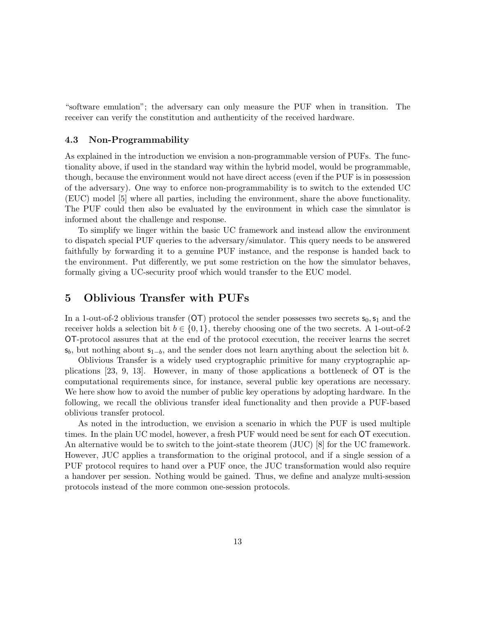"software emulation"; the adversary can only measure the PUF when in transition. The receiver can verify the constitution and authenticity of the received hardware.

#### 4.3 Non-Programmability

As explained in the introduction we envision a non-programmable version of PUFs. The functionality above, if used in the standard way within the hybrid model, would be programmable, though, because the environment would not have direct access (even if the PUF is in possession of the adversary). One way to enforce non-programmability is to switch to the extended UC (EUC) model [5] where all parties, including the environment, share the above functionality. The PUF could then also be evaluated by the environment in which case the simulator is informed about the challenge and response.

To simplify we linger within the basic UC framework and instead allow the environment to dispatch special PUF queries to the adversary/simulator. This query needs to be answered faithfully by forwarding it to a genuine PUF instance, and the response is handed back to the environment. Put differently, we put some restriction on the how the simulator behaves, formally giving a UC-security proof which would transfer to the EUC model.

# 5 Oblivious Transfer with PUFs

In a 1-out-of-2 oblivious transfer ( $\overline{OT}$ ) protocol the sender possesses two secrets  $s_0, s_1$  and the receiver holds a selection bit  $b \in \{0,1\}$ , thereby choosing one of the two secrets. A 1-out-of-2 OT-protocol assures that at the end of the protocol execution, the receiver learns the secret  $s_b$ , but nothing about  $s_{1-b}$ , and the sender does not learn anything about the selection bit b.

Oblivious Transfer is a widely used cryptographic primitive for many cryptographic applications [23, 9, 13]. However, in many of those applications a bottleneck of OT is the computational requirements since, for instance, several public key operations are necessary. We here show how to avoid the number of public key operations by adopting hardware. In the following, we recall the oblivious transfer ideal functionality and then provide a PUF-based oblivious transfer protocol.

As noted in the introduction, we envision a scenario in which the PUF is used multiple times. In the plain UC model, however, a fresh PUF would need be sent for each OT execution. An alternative would be to switch to the joint-state theorem (JUC) [8] for the UC framework. However, JUC applies a transformation to the original protocol, and if a single session of a PUF protocol requires to hand over a PUF once, the JUC transformation would also require a handover per session. Nothing would be gained. Thus, we define and analyze multi-session protocols instead of the more common one-session protocols.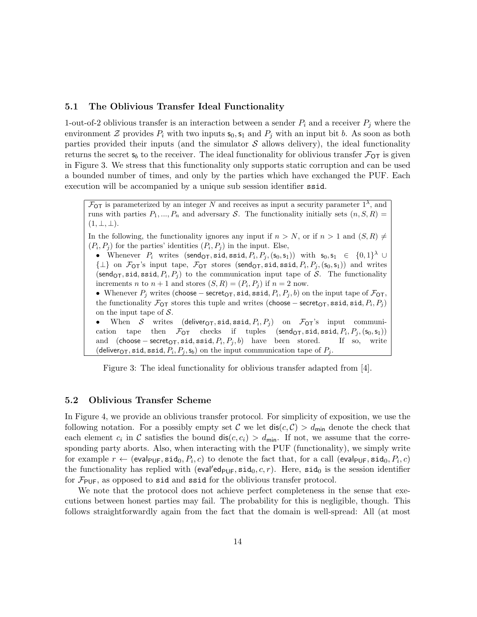### 5.1 The Oblivious Transfer Ideal Functionality

1-out-of-2 oblivious transfer is an interaction between a sender  $P_i$  and a receiver  $P_j$  where the environment  $\mathcal Z$  provides  $P_i$  with two inputs  $\mathsf{s}_0,\mathsf{s}_1$  and  $P_j$  with an input bit b. As soon as both parties provided their inputs (and the simulator  $S$  allows delivery), the ideal functionality returns the secret  $s_b$  to the receiver. The ideal functionality for oblivious transfer  $\mathcal{F}_{\text{OT}}$  is given in Figure 3. We stress that this functionality only supports static corruption and can be used a bounded number of times, and only by the parties which have exchanged the PUF. Each execution will be accompanied by a unique sub session identifier ssid.

 $\mathcal{F}_{\text{OT}}$  is parameterized by an integer N and receives as input a security parameter  $1^{\lambda}$ , and runs with parties  $P_1, ..., P_n$  and adversary S. The functionality initially sets  $(n, S, R)$  $(1, \perp, \perp).$ 

In the following, the functionality ignores any input if  $n > N$ , or if  $n > 1$  and  $(S, R) \neq$  $(P_i, P_j)$  for the parties' identities  $(P_i, P_j)$  in the input. Else,

• Whenever  $P_i$  writes (send<sub>OT</sub>, sid, ssid,  $P_i$ ,  $P_j$ ,  $(s_0, s_1)$ ) with  $s_0, s_1 \in \{0, 1\}^{\lambda} \cup$  $\{\perp\}$  on  $\mathcal{F}_{\text{OT}}$ 's input tape,  $\mathcal{F}_{\text{OT}}$  stores (send<sub>OT</sub>, sid, ssid,  $P_i$ ,  $P_j$ , (s<sub>0</sub>, s<sub>1</sub>)) and writes (send<sub>OT</sub>, sid, ssid,  $P_i$ ,  $P_j$ ) to the communication input tape of S. The functionality increments n to  $n + 1$  and stores  $(S, R) = (P_i, P_j)$  if  $n = 2$  now.

• Whenever  $P_j$  writes (choose – secret<sub>OT</sub>, sid, ssid,  $P_i$ ,  $P_j$ , b) on the input tape of  $\mathcal{F}_{\text{OT}}$ , the functionality  $\mathcal{F}_{OT}$  stores this tuple and writes (choose – secret<sub>OT</sub>, ssid, sid,  $P_i$ ,  $P_j$ ) on the input tape of  $S$ .

When S writes (deliver<sub>OT</sub>, sid, ssid,  $P_i$ ,  $P_j$ ) on  $\mathcal{F}_{OT}$ 's input communication tape then  $\mathcal{F}_{OT}$  checks if tuples (send<sub>OT</sub>, sid, ssid,  $P_i$ ,  $P_j$ ,  $(s_0, s_1)$ ) and (choose – secret<sub>OT</sub>, sid, ssid,  $P_i$ ,  $P_j$ , b) have been stored. If so, write (deliver<sub>OT</sub>, sid, ssid,  $P_i$ ,  $P_j$ ,  $s_b$ ) on the input communication tape of  $P_j$ .

Figure 3: The ideal functionality for oblivious transfer adapted from [4].

### 5.2 Oblivious Transfer Scheme

In Figure 4, we provide an oblivious transfer protocol. For simplicity of exposition, we use the following notation. For a possibly empty set C we let  $\text{dis}(c, C) > d_{\text{min}}$  denote the check that each element  $c_i$  in C satisfies the bound  $dis(c, c_i) > d_{min}$ . If not, we assume that the corresponding party aborts. Also, when interacting with the PUF (functionality), we simply write for example  $r \leftarrow (eval_{PUF}, sid_0, P_i, c)$  to denote the fact that, for a call  $(eval_{PUF}, sid_0, P_i, c)$ the functionality has replied with (eval'ed<sub>PUF</sub>,  $\text{sid}_0, c, r$ ). Here,  $\text{sid}_0$  is the session identifier for  $\mathcal{F}_{\text{PUF}}$ , as opposed to sid and ssid for the oblivious transfer protocol.

We note that the protocol does not achieve perfect completeness in the sense that executions between honest parties may fail. The probability for this is negligible, though. This follows straightforwardly again from the fact that the domain is well-spread: All (at most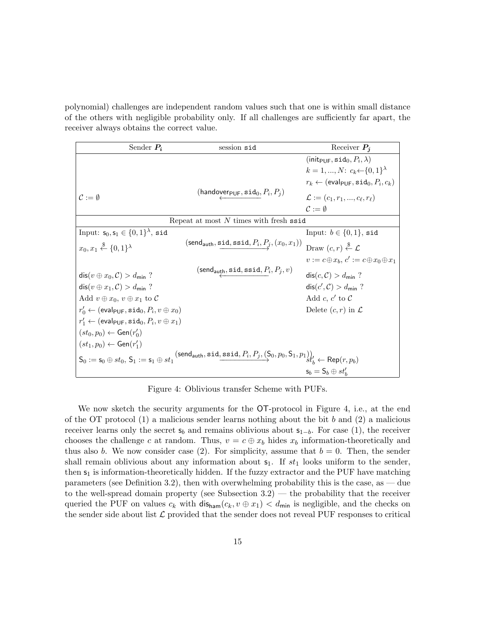polynomial) challenges are independent random values such that one is within small distance of the others with negligible probability only. If all challenges are sufficiently far apart, the receiver always obtains the correct value.

| Sender $P_i$                                             | session sid                                                                                                                                                              | Receiver $P_i$                                                 |  |
|----------------------------------------------------------|--------------------------------------------------------------------------------------------------------------------------------------------------------------------------|----------------------------------------------------------------|--|
|                                                          |                                                                                                                                                                          | $(\textsf{init}_{\textsf{PIF}}, \textsf{sid}_0, P_i, \lambda)$ |  |
|                                                          |                                                                                                                                                                          | $k = 1, , N: c_k \leftarrow \{0, 1\}^{\lambda}$                |  |
|                                                          |                                                                                                                                                                          | $r_k \leftarrow (eval_{\text{PIF}}, \text{sid}_0, P_i, c_k)$   |  |
| $\mathcal{C} := \emptyset$                               | (handover <sub>PUF</sub> , $\texttt{sid}_0, P_i, P_j)$                                                                                                                   | $\mathcal{L} := (c_1, r_1, , c_{\ell}, r_{\ell})$              |  |
|                                                          |                                                                                                                                                                          | $\mathcal{C} := \emptyset$                                     |  |
| Repeat at most $N$ times with fresh ssid                 |                                                                                                                                                                          |                                                                |  |
| Input: $s_0, s_1 \in \{0, 1\}^{\lambda}$ , sid           |                                                                                                                                                                          | Input: $b \in \{0,1\}$ , sid                                   |  |
| $x_0, x_1 \stackrel{\$}{\leftarrow} \{0,1\}^{\lambda}$   | $(\mathsf{send_{auth}}, \mathsf{sid}, \mathsf{ssid}, P_i, \Pr_j, (x_0, x_1))$                                                                                            | Draw $(c, r) \overset{\$}{\leftarrow} \mathcal{L}$             |  |
|                                                          |                                                                                                                                                                          | $v := c \oplus x_b, c' := c \oplus x_0 \oplus x_1$             |  |
| $dis(v \oplus x_0, C) > d_{\text{min}}$ ?                | $(\mathsf{send_{auth}}, \mathsf{sid}, \mathsf{ssid}, P_i, P_j, v)$                                                                                                       | $dis(c, C) > d_{min}$ ?                                        |  |
| $dis(v \oplus x_1, C) > d_{\min}$ ?                      |                                                                                                                                                                          | $dis(c', C) > d_{min}$ ?                                       |  |
| Add $v \oplus x_0, v \oplus x_1$ to C                    |                                                                                                                                                                          | Add c, c' to $\mathcal C$                                      |  |
| $r'_0 \leftarrow (eval_{PUF}, sid_0, P_i, v \oplus x_0)$ |                                                                                                                                                                          | Delete $(c, r)$ in $\mathcal L$                                |  |
| $r'_1 \leftarrow (eval_{PUF}, sid_0, P_i, v \oplus x_1)$ |                                                                                                                                                                          |                                                                |  |
| $(st_0, p_0) \leftarrow \mathsf{Gen}(r'_0)$              |                                                                                                                                                                          |                                                                |  |
| $(st_1, p_0) \leftarrow \mathsf{Gen}(r'_1)$              |                                                                                                                                                                          |                                                                |  |
|                                                          | $S_0 := s_0 \oplus st_0$ , $S_1 := s_1 \oplus st_1$ (send <sub>auth</sub> , sid, ssid, $P_i$ , $P_j$ , $(S_0, p_0, S_1, p_1)$ ), $st'_b \leftarrow \mathsf{Rep}(r, p_b)$ |                                                                |  |
|                                                          |                                                                                                                                                                          | $s_b = S_b \oplus st'_b$                                       |  |

Figure 4: Oblivious transfer Scheme with PUFs.

We now sketch the security arguments for the OT-protocol in Figure 4, i.e., at the end of the OT protocol (1) a malicious sender learns nothing about the bit b and (2) a malicious receiver learns only the secret  $s_b$  and remains oblivious about  $s_{1-b}$ . For case (1), the receiver chooses the challenge c at random. Thus,  $v = c \oplus x_b$  hides  $x_b$  information-theoretically and thus also b. We now consider case (2). For simplicity, assume that  $b = 0$ . Then, the sender shall remain oblivious about any information about  $s_1$ . If  $st_1$  looks uniform to the sender, then  $s_1$  is information-theoretically hidden. If the fuzzy extractor and the PUF have matching parameters (see Definition 3.2), then with overwhelming probability this is the case, as — due to the well-spread domain property (see Subsection 3.2) — the probability that the receiver queried the PUF on values  $c_k$  with  $dis_{ham}(c_k, v \oplus x_1) < d_{min}$  is negligible, and the checks on the sender side about list  $\mathcal L$  provided that the sender does not reveal PUF responses to critical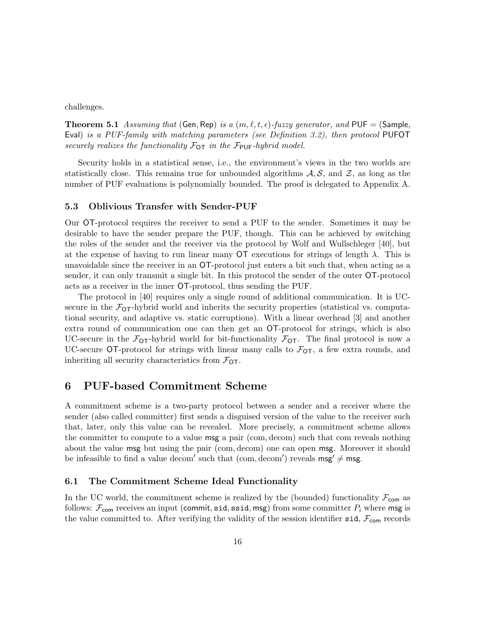challenges.

**Theorem 5.1** Assuming that (Gen, Rep) is a  $(m, \ell, t, \epsilon)$ -fuzzy generator, and PUF = (Sample, Eval) is a PUF-family with matching parameters (see Definition 3.2), then protocol PUFOT securely realizes the functionality  $\mathcal{F}_{OT}$  in the  $\mathcal{F}_{PUF}$ -hybrid model.

Security holds in a statistical sense, i.e., the environment's views in the two worlds are statistically close. This remains true for unbounded algorithms  $A, S$ , and  $B, \Sigma$ , as long as the number of PUF evaluations is polynomially bounded. The proof is delegated to Appendix A.

#### 5.3 Oblivious Transfer with Sender-PUF

Our OT-protocol requires the receiver to send a PUF to the sender. Sometimes it may be desirable to have the sender prepare the PUF, though. This can be achieved by switching the roles of the sender and the receiver via the protocol by Wolf and Wullschleger [40], but at the expense of having to run linear many  $\overline{OT}$  executions for strings of length  $\lambda$ . This is unavoidable since the receiver in an OT-protocol just enters a bit such that, when acting as a sender, it can only transmit a single bit. In this protocol the sender of the outer OT-protocol acts as a receiver in the inner OT-protocol, thus sending the PUF.

The protocol in [40] requires only a single round of additional communication. It is UCsecure in the  $\mathcal{F}_{\text{OT}}$ -hybrid world and inherits the security properties (statistical vs. computational security, and adaptive vs. static corruptions). With a linear overhead [3] and another extra round of communication one can then get an OT-protocol for strings, which is also UC-secure in the  $\mathcal{F}_{\text{OT}}$ -hybrid world for bit-functionality  $\mathcal{F}_{\text{OT}}$ . The final protocol is now a UC-secure OT-protocol for strings with linear many calls to  $\mathcal{F}_{OT}$ , a few extra rounds, and inheriting all security characteristics from  $\mathcal{F}_{OT}$ .

# 6 PUF-based Commitment Scheme

A commitment scheme is a two-party protocol between a sender and a receiver where the sender (also called committer) first sends a disguised version of the value to the receiver such that, later, only this value can be revealed. More precisely, a commitment scheme allows the committer to compute to a value msg a pair (com, decom) such that com reveals nothing about the value msg but using the pair (com, decom) one can open msg. Moreover it should be infeasible to find a value decom' such that (com, decom') reveals  $\mathsf{msg}' \neq \mathsf{msg}$ .

### 6.1 The Commitment Scheme Ideal Functionality

In the UC world, the commitment scheme is realized by the (bounded) functionality  $\mathcal{F}_{com}$  as follows:  $\mathcal{F}_{\text{com}}$  receives an input (commit, sid, ssid, msg) from some committer  $P_i$  where msg is the value committed to. After verifying the validity of the session identifier  $\text{sid}, \mathcal{F}_{\text{com}}$  records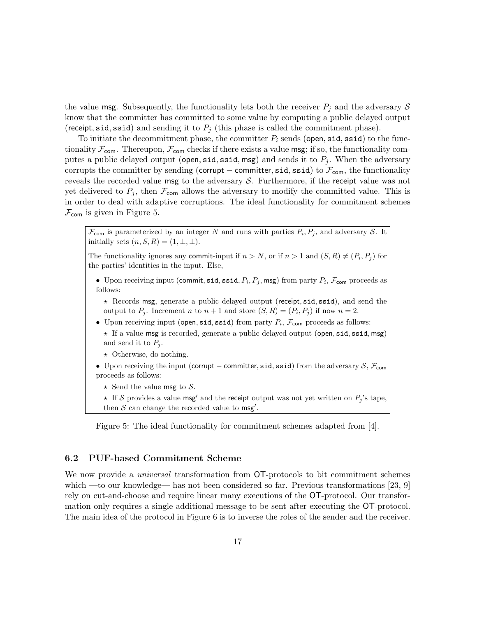the value msg. Subsequently, the functionality lets both the receiver  $P_j$  and the adversary S know that the committer has committed to some value by computing a public delayed output (receipt, sid, ssid) and sending it to  $P_i$  (this phase is called the commitment phase).

To initiate the decommitment phase, the committer  $P_i$  sends (open, sid, ssid) to the functionality  $\mathcal{F}_{com}$ . Thereupon,  $\mathcal{F}_{com}$  checks if there exists a value msg; if so, the functionality computes a public delayed output (open, sid, ssid, msg) and sends it to  $P_i$ . When the adversary corrupts the committer by sending (corrupt – committer, sid, ssid) to  $\mathcal{F}_{com}$ , the functionality reveals the recorded value msg to the adversary  $S$ . Furthermore, if the receipt value was not yet delivered to  $P_j$ , then  $\mathcal{F}_{com}$  allows the adversary to modify the committed value. This is in order to deal with adaptive corruptions. The ideal functionality for commitment schemes  $\mathcal{F}_{\text{com}}$  is given in Figure 5.

 $\mathcal{F}_{\text{com}}$  is parameterized by an integer N and runs with parties  $P_i, P_j$ , and adversary S. It initially sets  $(n, S, R) = (1, \perp, \perp).$ 

The functionality ignores any commit-input if  $n > N$ , or if  $n > 1$  and  $(S, R) \neq (P_i, P_j)$  for the parties' identities in the input. Else,

• Upon receiving input (commit, sid, ssid,  $P_i$ ,  $P_j$ , msg) from party  $P_i$ ,  $\mathcal{F}_{com}$  proceeds as follows:

 $\star$  Records msg, generate a public delayed output (receipt, sid, ssid), and send the output to  $P_j$ . Increment n to  $n+1$  and store  $(S, R) = (P_i, P_j)$  if now  $n = 2$ .

- Upon receiving input (open, sid, ssid) from party  $P_i$ ,  $\mathcal{F}_{com}$  proceeds as follows:  $\star$  If a value msg is recorded, generate a public delayed output (open, sid, ssid, msg) and send it to  $P_i$ .
	- $\star$  Otherwise, do nothing.
- Upon receiving the input (corrupt committer, sid, ssid) from the adversary  $S, \mathcal{F}_{com}$ proceeds as follows:
	- $\star$  Send the value msg to S.
	- $\star$  If S provides a value msg' and the receipt output was not yet written on  $P_j$ 's tape, then  $S$  can change the recorded value to  $msg'.$

Figure 5: The ideal functionality for commitment schemes adapted from [4].

# 6.2 PUF-based Commitment Scheme

We now provide a *universal* transformation from OT-protocols to bit commitment schemes which —to our knowledge— has not been considered so far. Previous transformations [23, 9] rely on cut-and-choose and require linear many executions of the OT-protocol. Our transformation only requires a single additional message to be sent after executing the OT-protocol. The main idea of the protocol in Figure 6 is to inverse the roles of the sender and the receiver.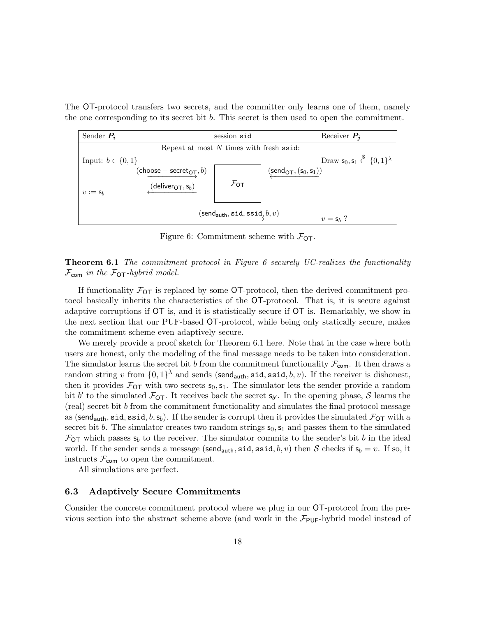The OT-protocol transfers two secrets, and the committer only learns one of them, namely the one corresponding to its secret bit b. This secret is then used to open the commitment.



Figure 6: Commitment scheme with  $\mathcal{F}_{\Omega T}$ .

# **Theorem 6.1** The commitment protocol in Figure 6 securely UC-realizes the functionality  $\mathcal{F}_{\text{com}}$  in the  $\mathcal{F}_{\text{OT}}$ -hybrid model.

If functionality  $\mathcal{F}_{\text{OT}}$  is replaced by some OT-protocol, then the derived commitment protocol basically inherits the characteristics of the OT-protocol. That is, it is secure against adaptive corruptions if OT is, and it is statistically secure if OT is. Remarkably, we show in the next section that our PUF-based OT-protocol, while being only statically secure, makes the commitment scheme even adaptively secure.

We merely provide a proof sketch for Theorem 6.1 here. Note that in the case where both users are honest, only the modeling of the final message needs to be taken into consideration. The simulator learns the secret bit b from the commitment functionality  $\mathcal{F}_{com}$ . It then draws a random string  $v$  from  $\{0,1\}^{\lambda}$  and sends (send<sub>auth</sub>, sid, ssid,  $b, v$ ). If the receiver is dishonest, then it provides  $\mathcal{F}_{OT}$  with two secrets  $s_0, s_1$ . The simulator lets the sender provide a random bit b' to the simulated  $\mathcal{F}_{OT}$ . It receives back the secret  $s_{b'}$ . In the opening phase, S learns the (real) secret bit b from the commitment functionality and simulates the final protocol message as (send<sub>auth</sub>, sid, ssid, b, s<sub>b</sub>). If the sender is corrupt then it provides the simulated  $\mathcal{F}_{OT}$  with a secret bit b. The simulator creates two random strings  $s_0, s_1$  and passes them to the simulated  $\mathcal{F}_{\text{OT}}$  which passes  $s_b$  to the receiver. The simulator commits to the sender's bit b in the ideal world. If the sender sends a message (send<sub>auth</sub>, sid, ssid, b, v) then S checks if  $s_b = v$ . If so, it instructs  $\mathcal{F}_{\text{com}}$  to open the commitment.

All simulations are perfect.

### 6.3 Adaptively Secure Commitments

Consider the concrete commitment protocol where we plug in our OT-protocol from the previous section into the abstract scheme above (and work in the  $\mathcal{F}_{\text{PUF}}$ -hybrid model instead of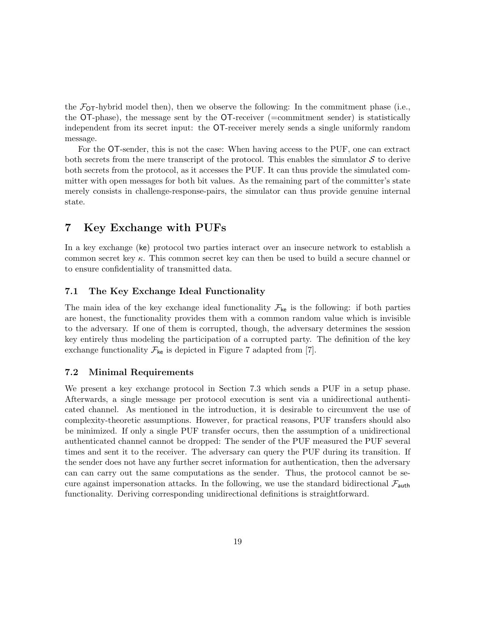the  $\mathcal{F}_{\text{OT}}$ -hybrid model then), then we observe the following: In the commitment phase (i.e., the OT-phase), the message sent by the OT-receiver (=commitment sender) is statistically independent from its secret input: the OT-receiver merely sends a single uniformly random message.

For the OT-sender, this is not the case: When having access to the PUF, one can extract both secrets from the mere transcript of the protocol. This enables the simulator  $S$  to derive both secrets from the protocol, as it accesses the PUF. It can thus provide the simulated committer with open messages for both bit values. As the remaining part of the committer's state merely consists in challenge-response-pairs, the simulator can thus provide genuine internal state.

# 7 Key Exchange with PUFs

In a key exchange (ke) protocol two parties interact over an insecure network to establish a common secret key  $\kappa$ . This common secret key can then be used to build a secure channel or to ensure confidentiality of transmitted data.

# 7.1 The Key Exchange Ideal Functionality

The main idea of the key exchange ideal functionality  $\mathcal{F}_{\text{ke}}$  is the following: if both parties are honest, the functionality provides them with a common random value which is invisible to the adversary. If one of them is corrupted, though, the adversary determines the session key entirely thus modeling the participation of a corrupted party. The definition of the key exchange functionality  $\mathcal{F}_{\mathsf{ke}}$  is depicted in Figure 7 adapted from [7].

# 7.2 Minimal Requirements

We present a key exchange protocol in Section 7.3 which sends a PUF in a setup phase. Afterwards, a single message per protocol execution is sent via a unidirectional authenticated channel. As mentioned in the introduction, it is desirable to circumvent the use of complexity-theoretic assumptions. However, for practical reasons, PUF transfers should also be minimized. If only a single PUF transfer occurs, then the assumption of a unidirectional authenticated channel cannot be dropped: The sender of the PUF measured the PUF several times and sent it to the receiver. The adversary can query the PUF during its transition. If the sender does not have any further secret information for authentication, then the adversary can can carry out the same computations as the sender. Thus, the protocol cannot be secure against impersonation attacks. In the following, we use the standard bidirectional  $\mathcal{F}_{\text{auth}}$ functionality. Deriving corresponding unidirectional definitions is straightforward.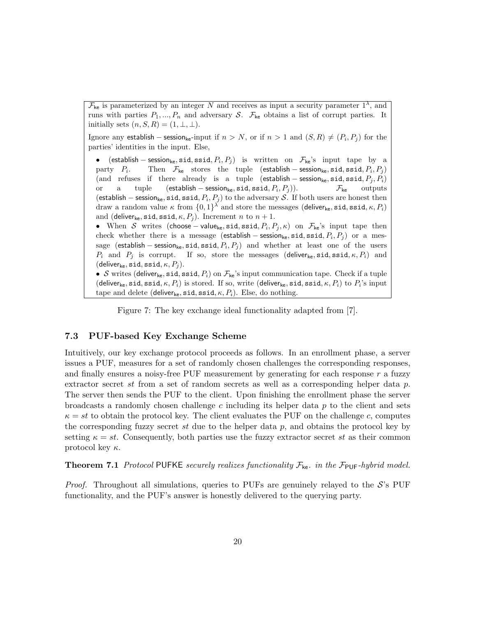$\mathcal{F}_{\text{ke}}$  is parameterized by an integer N and receives as input a security parameter  $1^{\lambda}$ , and runs with parties  $P_1, ..., P_n$  and adversary S.  $\mathcal{F}_{ke}$  obtains a list of corrupt parties. It initially sets  $(n, S, R) = (1, \perp, \perp).$ Ignore any establish – session<sub>ke</sub>-input if  $n > N$ , or if  $n > 1$  and  $(S, R) \neq (P_i, P_j)$  for the parties' identities in the input. Else, • (establish – session<sub>ke</sub>, sid, ssid,  $P_i, P_j$ ) is written on  $\mathcal{F}_{ke}$ 's input tape by a party  $P_i$ . Then  $\mathcal{F}_{ke}$  stores the tuple (establish – session<sub>ke</sub>, sid, ssid,  $P_i$ ,  $P_j$ ) (and refuses if there already is a tuple (establish – session<sub>ke</sub>, sid, ssid,  $P_j, P_i$ ) or a tuple (establish – session<sub>ke</sub>, sid, ssid,  $P_i, P_j$ )).  $\mathcal{F}_{ke}$  outputs (establish – session<sub>ke</sub>, sid, ssid,  $P_i, P_j$ ) to the adversary S. If both users are honest then draw a random value  $\kappa$  from  $\{0,1\}^{\lambda}$  and store the messages (deliver<sub>ke</sub>, sid, ssid,  $\kappa, P_i$ ) and (deliver<sub>ke</sub>, sid, ssid,  $\kappa$ ,  $P_i$ ). Increment n to  $n + 1$ . • When S writes (choose – value<sub>ke</sub>, sid, ssid,  $P_i, P_j, \kappa$ ) on  $\mathcal{F}_{k}$ 's input tape then check whether there is a message (establish – session<sub>ke</sub>, sid, ssid,  $P_i$ ,  $P_j$ ) or a message (establish – session<sub>ke</sub>, sid, ssid,  $P_i$ ,  $P_j$ ) and whether at least one of the users  $P_i$  and  $P_j$  is corrupt. If so, store the messages (deliver<sub>ke</sub>, sid, ssid,  $\kappa, P_i$ ) and (deliver<sub>ke</sub>, sid, ssid,  $\kappa$ ,  $P_i$ ). • S writes (deliver<sub>ke</sub>, sid, ssid,  $P_i$ ) on  $\mathcal{F}_{ke}$ 's input communication tape. Check if a tuple (deliver<sub>ke</sub>, sid, ssid,  $\kappa$ ,  $P_i$ ) is stored. If so, write (deliver<sub>ke</sub>, sid, ssid,  $\kappa$ ,  $P_i$ ) to  $P_i$ 's input

tape and delete (deliver<sub>ke</sub>, sid, ssid,  $\kappa$ ,  $P_i$ ). Else, do nothing.

Figure 7: The key exchange ideal functionality adapted from [7].

# 7.3 PUF-based Key Exchange Scheme

Intuitively, our key exchange protocol proceeds as follows. In an enrollment phase, a server issues a PUF, measures for a set of randomly chosen challenges the corresponding responses, and finally ensures a noisy-free PUF measurement by generating for each response  $r$  a fuzzy extractor secret st from a set of random secrets as well as a corresponding helper data  $p$ . The server then sends the PUF to the client. Upon finishing the enrollment phase the server broadcasts a randomly chosen challenge c including its helper data  $p$  to the client and sets  $\kappa = st$  to obtain the protocol key. The client evaluates the PUF on the challenge c, computes the corresponding fuzzy secret st due to the helper data  $p$ , and obtains the protocol key by setting  $\kappa = st$ . Consequently, both parties use the fuzzy extractor secret st as their common protocol key  $\kappa$ .

**Theorem 7.1** Protocol PUFKE securely realizes functionality  $\mathcal{F}_{\text{ke}}$  in the  $\mathcal{F}_{\text{PUF}}$ -hybrid model.

*Proof.* Throughout all simulations, queries to PUFs are genuinely relayed to the  $S$ 's PUF functionality, and the PUF's answer is honestly delivered to the querying party.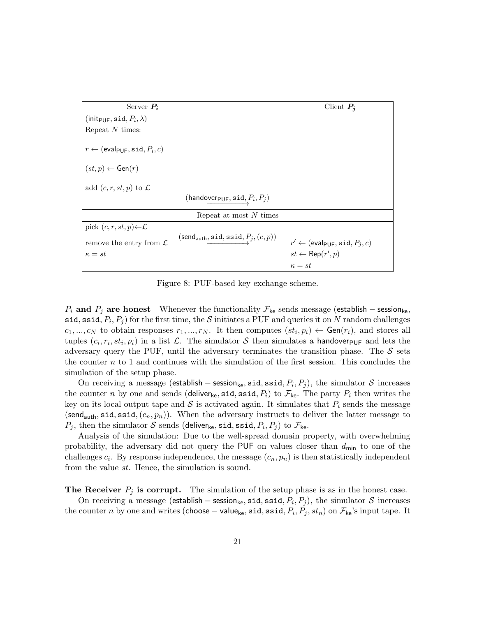| Server $P_i$                                                 |                                                                        | Client $P_i$                              |
|--------------------------------------------------------------|------------------------------------------------------------------------|-------------------------------------------|
| $(\mathsf{init}_{\mathsf{PUF}}, \mathsf{sid}, P_i, \lambda)$ |                                                                        |                                           |
| Repeat $N$ times:                                            |                                                                        |                                           |
| $r \leftarrow$ (eval <sub>PUF</sub> , sid, $P_i$ , c)        |                                                                        |                                           |
| $(st, p) \leftarrow \textsf{Gen}(r)$                         |                                                                        |                                           |
| add $(c, r, st, p)$ to $\mathcal L$                          |                                                                        |                                           |
|                                                              | $(\mathsf{handover}_{\mathsf{PUF}}, \mathsf{sid}, P_i, P_j)$           |                                           |
|                                                              | Repeat at most $N$ times                                               |                                           |
| pick $(c, r, st, p) \leftarrow \mathcal{L}$                  |                                                                        |                                           |
| remove the entry from $\mathcal L$                           | $(\mathsf{send_{auth}}, \mathsf{sid}, \mathsf{ssid}, \c{P_j}, (c, p))$ | $r' \leftarrow (eval_{PUF}, sid, P_i, c)$ |
| $\kappa = st$                                                |                                                                        | $st \leftarrow \mathsf{Rep}(r', p)$       |
|                                                              |                                                                        | $\kappa = st$                             |

Figure 8: PUF-based key exchange scheme.

 $P_i$  and  $P_j$  are honest Whenever the functionality  $\mathcal{F}_{k}$  sends message (establish – session<sub>ke</sub>, sid, ssid,  $P_i, P_j)$  for the first time, the  $\mathcal S$  initiates a PUF and queries it on N random challenges  $c_1, ..., c_N$  to obtain responses  $r_1, ..., r_N$ . It then computes  $(st_i, p_i) \leftarrow \mathsf{Gen}(r_i)$ , and stores all tuples  $(c_i, r_i, st_i, p_i)$  in a list  $\mathcal{L}$ . The simulator S then simulates a handover  $p_{\text{UF}}$  and lets the adversary query the PUF, until the adversary terminates the transition phase. The  $S$  sets the counter  $n$  to 1 and continues with the simulation of the first session. This concludes the simulation of the setup phase.

On receiving a message (establish – session<sub>ke</sub>, sid, ssid,  $P_i, P_j)$ , the simulator  ${\cal S}$  increases the counter n by one and sends (deliver<sub>ke</sub>, sid, ssid,  $P_i$ ) to  $\mathcal{F}_{ke}$ . The party  $P_i$  then writes the key on its local output tape and S is activated again. It simulates that  $P_i$  sends the message (send<sub>auth</sub>, sid, ssid,  $(c_n, p_n)$ ). When the adversary instructs to deliver the latter message to  $P_j$ , then the simulator  $\mathcal S$  sends (deliver<sub>ke</sub>, sid, ssid,  $P_i, P_j$ ) to  $\mathcal F_{\sf ke}$ .

Analysis of the simulation: Due to the well-spread domain property, with overwhelming probability, the adversary did not query the PUF on values closer than  $d_{\text{min}}$  to one of the challenges  $c_i$ . By response independence, the message  $(c_n, p_n)$  is then statistically independent from the value st. Hence, the simulation is sound.

**The Receiver**  $P_i$  is corrupt. The simulation of the setup phase is as in the honest case.

On receiving a message (establish – session<sub>ke</sub>, sid, ssid,  $P_i, P_j)$ , the simulator  ${\cal S}$  increases the counter  $n$  by one and writes (choose – value<sub>ke</sub>, sid, ssid,  $P_i, P_j, st_n)$  on  $\mathcal{F}_{\sf ke}$ 's input tape. It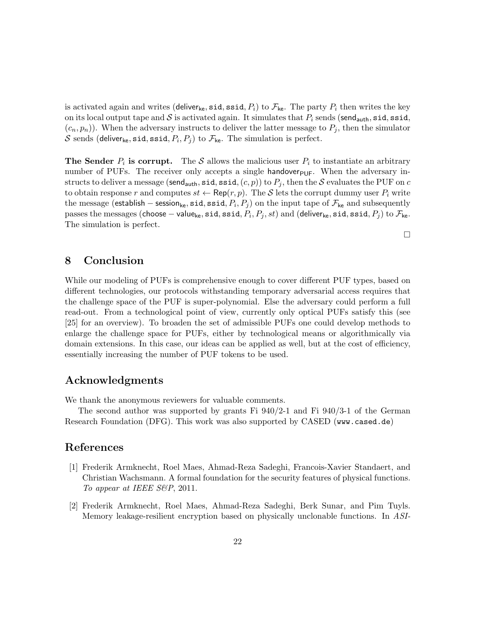is activated again and writes (deliver<sub>ke</sub>, sid, ssid,  $P_i$ ) to  $\mathcal{F}_{k\epsilon}$ . The party  $P_i$  then writes the key on its local output tape and S is activated again. It simulates that  $P_i$  sends (send<sub>auth</sub>, sid, ssid,  $(c_n, p_n)$ ). When the adversary instructs to deliver the latter message to  $P_i$ , then the simulator S sends (deliver<sub>ke</sub>, sid, ssid,  $P_i, P_j)$  to  $\mathcal{F}_{\mathsf{ke}}$ . The simulation is perfect.

**The Sender P<sub>i</sub>** is corrupt. The S allows the malicious user  $P_i$  to instantiate an arbitrary number of PUFs. The receiver only accepts a single handover  $p_{U}F$ . When the adversary instructs to deliver a message (send<sub>auth</sub>, sid, ssid,  $(c, p)$ ) to  $P_j$ , then the S evaluates the PUF on c to obtain response r and computes  $st \leftarrow \mathsf{Rep}(r, p)$ . The S lets the corrupt dummy user  $P_i$  write the message (establish – session<sub>ke</sub>, sid, ssid,  $P_i,P_j)$  on the input tape of  $\mathcal{F}_{\sf ke}$  and subsequently passes the messages (choose  $-$  value<sub>ke</sub>, sid, ssid,  $P_i,P_j,st)$  and (deliver<sub>ke</sub>, sid, ssid,  $P_j)$  to  $\mathcal{F}_{\sf ke}$ . The simulation is perfect.

 $\Box$ 

# 8 Conclusion

While our modeling of PUFs is comprehensive enough to cover different PUF types, based on different technologies, our protocols withstanding temporary adversarial access requires that the challenge space of the PUF is super-polynomial. Else the adversary could perform a full read-out. From a technological point of view, currently only optical PUFs satisfy this (see [25] for an overview). To broaden the set of admissible PUFs one could develop methods to enlarge the challenge space for PUFs, either by technological means or algorithmically via domain extensions. In this case, our ideas can be applied as well, but at the cost of efficiency, essentially increasing the number of PUF tokens to be used.

# Acknowledgments

We thank the anonymous reviewers for valuable comments.

The second author was supported by grants Fi 940/2-1 and Fi 940/3-1 of the German Research Foundation (DFG). This work was also supported by CASED (www.cased.de)

# References

- [1] Frederik Armknecht, Roel Maes, Ahmad-Reza Sadeghi, Francois-Xavier Standaert, and Christian Wachsmann. A formal foundation for the security features of physical functions. To appear at IEEE S&P, 2011.
- [2] Frederik Armknecht, Roel Maes, Ahmad-Reza Sadeghi, Berk Sunar, and Pim Tuyls. Memory leakage-resilient encryption based on physically unclonable functions. In ASI-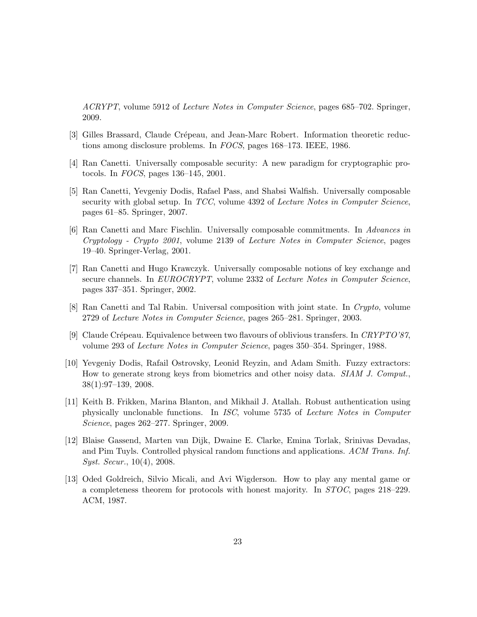ACRYPT, volume 5912 of Lecture Notes in Computer Science, pages 685–702. Springer, 2009.

- [3] Gilles Brassard, Claude Crépeau, and Jean-Marc Robert. Information theoretic reductions among disclosure problems. In FOCS, pages 168–173. IEEE, 1986.
- [4] Ran Canetti. Universally composable security: A new paradigm for cryptographic protocols. In FOCS, pages 136–145, 2001.
- [5] Ran Canetti, Yevgeniy Dodis, Rafael Pass, and Shabsi Walfish. Universally composable security with global setup. In TCC, volume 4392 of Lecture Notes in Computer Science, pages 61–85. Springer, 2007.
- [6] Ran Canetti and Marc Fischlin. Universally composable commitments. In Advances in Cryptology - Crypto 2001, volume 2139 of Lecture Notes in Computer Science, pages 19–40. Springer-Verlag, 2001.
- [7] Ran Canetti and Hugo Krawczyk. Universally composable notions of key exchange and secure channels. In EUROCRYPT, volume 2332 of Lecture Notes in Computer Science, pages 337–351. Springer, 2002.
- [8] Ran Canetti and Tal Rabin. Universal composition with joint state. In Crypto, volume 2729 of Lecture Notes in Computer Science, pages 265–281. Springer, 2003.
- [9] Claude Crépeau. Equivalence between two flavours of oblivious transfers. In CRYPTO'87, volume 293 of Lecture Notes in Computer Science, pages 350–354. Springer, 1988.
- [10] Yevgeniy Dodis, Rafail Ostrovsky, Leonid Reyzin, and Adam Smith. Fuzzy extractors: How to generate strong keys from biometrics and other noisy data. SIAM J. Comput., 38(1):97–139, 2008.
- [11] Keith B. Frikken, Marina Blanton, and Mikhail J. Atallah. Robust authentication using physically unclonable functions. In ISC, volume 5735 of Lecture Notes in Computer Science, pages 262–277. Springer, 2009.
- [12] Blaise Gassend, Marten van Dijk, Dwaine E. Clarke, Emina Torlak, Srinivas Devadas, and Pim Tuyls. Controlled physical random functions and applications. ACM Trans. Inf. Syst. Secur., 10(4), 2008.
- [13] Oded Goldreich, Silvio Micali, and Avi Wigderson. How to play any mental game or a completeness theorem for protocols with honest majority. In STOC, pages 218–229. ACM, 1987.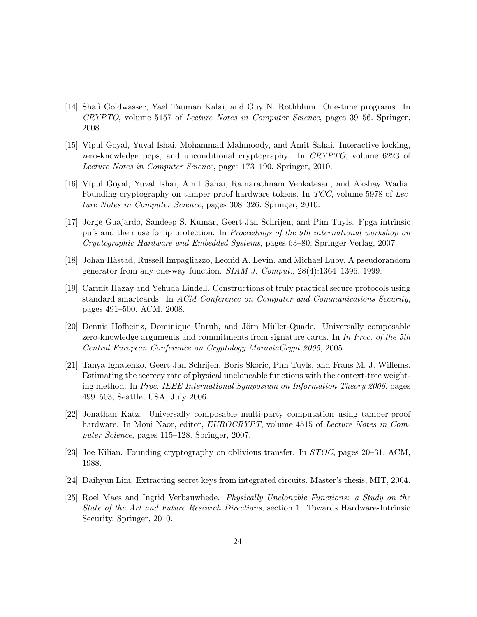- [14] Shafi Goldwasser, Yael Tauman Kalai, and Guy N. Rothblum. One-time programs. In CRYPTO, volume 5157 of Lecture Notes in Computer Science, pages 39–56. Springer, 2008.
- [15] Vipul Goyal, Yuval Ishai, Mohammad Mahmoody, and Amit Sahai. Interactive locking, zero-knowledge pcps, and unconditional cryptography. In CRYPTO, volume 6223 of Lecture Notes in Computer Science, pages 173–190. Springer, 2010.
- [16] Vipul Goyal, Yuval Ishai, Amit Sahai, Ramarathnam Venkatesan, and Akshay Wadia. Founding cryptography on tamper-proof hardware tokens. In TCC, volume 5978 of Lecture Notes in Computer Science, pages 308–326. Springer, 2010.
- [17] Jorge Guajardo, Sandeep S. Kumar, Geert-Jan Schrijen, and Pim Tuyls. Fpga intrinsic pufs and their use for ip protection. In Proceedings of the 9th international workshop on Cryptographic Hardware and Embedded Systems, pages 63–80. Springer-Verlag, 2007.
- [18] Johan Håstad, Russell Impagliazzo, Leonid A. Levin, and Michael Luby. A pseudorandom generator from any one-way function.  $SIAM J. Comput.$  28(4):1364–1396, 1999.
- [19] Carmit Hazay and Yehuda Lindell. Constructions of truly practical secure protocols using standard smartcards. In ACM Conference on Computer and Communications Security, pages 491–500. ACM, 2008.
- [20] Dennis Hofheinz, Dominique Unruh, and Jörn Müller-Quade. Universally composable zero-knowledge arguments and commitments from signature cards. In In Proc. of the 5th Central European Conference on Cryptology MoraviaCrypt 2005, 2005.
- [21] Tanya Ignatenko, Geert-Jan Schrijen, Boris Skoric, Pim Tuyls, and Frans M. J. Willems. Estimating the secrecy rate of physical uncloneable functions with the context-tree weighting method. In Proc. IEEE International Symposium on Information Theory 2006, pages 499–503, Seattle, USA, July 2006.
- [22] Jonathan Katz. Universally composable multi-party computation using tamper-proof hardware. In Moni Naor, editor, EUROCRYPT, volume 4515 of Lecture Notes in Computer Science, pages 115–128. Springer, 2007.
- [23] Joe Kilian. Founding cryptography on oblivious transfer. In STOC, pages 20–31. ACM, 1988.
- [24] Daihyun Lim. Extracting secret keys from integrated circuits. Master's thesis, MIT, 2004.
- [25] Roel Maes and Ingrid Verbauwhede. Physically Unclonable Functions: a Study on the State of the Art and Future Research Directions, section 1. Towards Hardware-Intrinsic Security. Springer, 2010.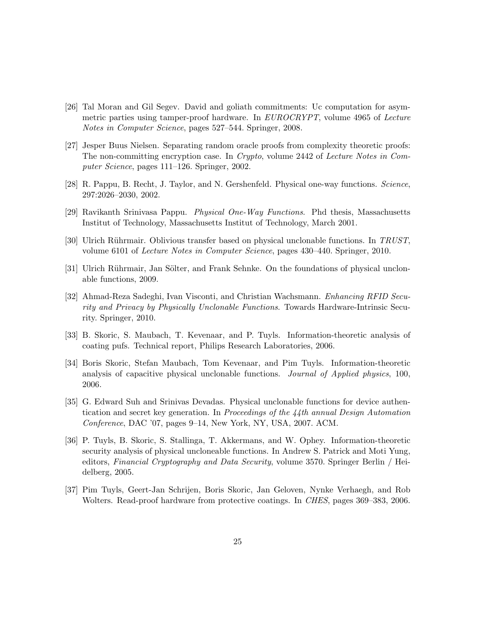- [26] Tal Moran and Gil Segev. David and goliath commitments: Uc computation for asymmetric parties using tamper-proof hardware. In *EUROCRYPT*, volume 4965 of *Lecture* Notes in Computer Science, pages 527–544. Springer, 2008.
- [27] Jesper Buus Nielsen. Separating random oracle proofs from complexity theoretic proofs: The non-committing encryption case. In Crypto, volume 2442 of Lecture Notes in Computer Science, pages 111–126. Springer, 2002.
- [28] R. Pappu, B. Recht, J. Taylor, and N. Gershenfeld. Physical one-way functions. Science, 297:2026–2030, 2002.
- [29] Ravikanth Srinivasa Pappu. Physical One-Way Functions. Phd thesis, Massachusetts Institut of Technology, Massachusetts Institut of Technology, March 2001.
- [30] Ulrich Rührmair. Oblivious transfer based on physical unclonable functions. In TRUST, volume 6101 of Lecture Notes in Computer Science, pages 430–440. Springer, 2010.
- [31] Ulrich Rührmair, Jan Sölter, and Frank Sehnke. On the foundations of physical unclonable functions, 2009.
- [32] Ahmad-Reza Sadeghi, Ivan Visconti, and Christian Wachsmann. Enhancing RFID Security and Privacy by Physically Unclonable Functions. Towards Hardware-Intrinsic Security. Springer, 2010.
- [33] B. Skoric, S. Maubach, T. Kevenaar, and P. Tuyls. Information-theoretic analysis of coating pufs. Technical report, Philips Research Laboratories, 2006.
- [34] Boris Skoric, Stefan Maubach, Tom Kevenaar, and Pim Tuyls. Information-theoretic analysis of capacitive physical unclonable functions. Journal of Applied physics, 100, 2006.
- [35] G. Edward Suh and Srinivas Devadas. Physical unclonable functions for device authentication and secret key generation. In Proceedings of the 44th annual Design Automation Conference, DAC '07, pages 9–14, New York, NY, USA, 2007. ACM.
- [36] P. Tuyls, B. Skoric, S. Stallinga, T. Akkermans, and W. Ophey. Information-theoretic security analysis of physical uncloneable functions. In Andrew S. Patrick and Moti Yung, editors, Financial Cryptography and Data Security, volume 3570. Springer Berlin / Heidelberg, 2005.
- [37] Pim Tuyls, Geert-Jan Schrijen, Boris Skoric, Jan Geloven, Nynke Verhaegh, and Rob Wolters. Read-proof hardware from protective coatings. In CHES, pages 369–383, 2006.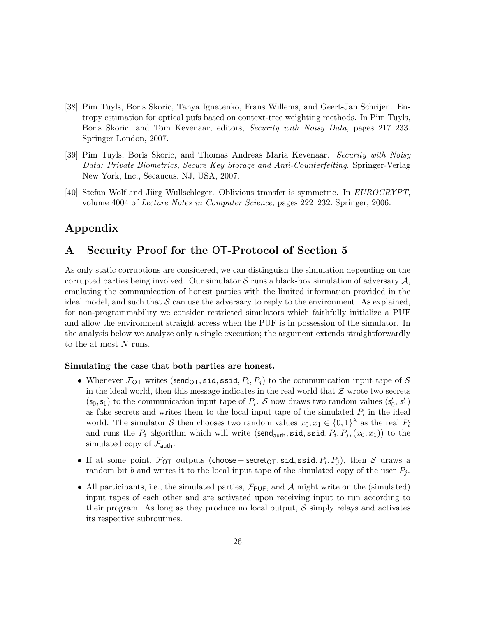- [38] Pim Tuyls, Boris Skoric, Tanya Ignatenko, Frans Willems, and Geert-Jan Schrijen. Entropy estimation for optical pufs based on context-tree weighting methods. In Pim Tuyls, Boris Skoric, and Tom Kevenaar, editors, Security with Noisy Data, pages 217–233. Springer London, 2007.
- [39] Pim Tuyls, Boris Skoric, and Thomas Andreas Maria Kevenaar. Security with Noisy Data: Private Biometrics, Secure Key Storage and Anti-Counterfeiting. Springer-Verlag New York, Inc., Secaucus, NJ, USA, 2007.
- [40] Stefan Wolf and Jürg Wullschleger. Oblivious transfer is symmetric. In EUROCRYPT, volume 4004 of Lecture Notes in Computer Science, pages 222–232. Springer, 2006.

# Appendix

# A Security Proof for the OT-Protocol of Section 5

As only static corruptions are considered, we can distinguish the simulation depending on the corrupted parties being involved. Our simulator  $S$  runs a black-box simulation of adversary  $A$ , emulating the communication of honest parties with the limited information provided in the ideal model, and such that  $\mathcal S$  can use the adversary to reply to the environment. As explained, for non-programmability we consider restricted simulators which faithfully initialize a PUF and allow the environment straight access when the PUF is in possession of the simulator. In the analysis below we analyze only a single execution; the argument extends straightforwardly to the at most N runs.

#### Simulating the case that both parties are honest.

- Whenever  $\mathcal{F}_{OT}$  writes (send<sub>OT</sub>, sid, ssid,  $P_i, P_j$ ) to the communication input tape of S in the ideal world, then this message indicates in the real world that  $Z$  wrote two secrets  $(s_0, s_1)$  to the communication input tape of  $P_i$ . S now draws two random values  $(s'_0, s'_1)$ as fake secrets and writes them to the local input tape of the simulated  $P_i$  in the ideal world. The simulator S then chooses two random values  $x_0, x_1 \in \{0,1\}^{\lambda}$  as the real  $P_i$ and runs the  $P_i$  algorithm which will write (send<sub>auth</sub>, sid, ssid,  $P_i$ ,  $P_j$ ,  $(x_0, x_1)$ ) to the simulated copy of  $\mathcal{F}_{\mathsf{auth}}$ .
- If at some point,  $\mathcal{F}_{OT}$  outputs (choose secret<sub>OT</sub>, sid, ssid,  $P_i$ ,  $P_j$ ), then S draws a random bit b and writes it to the local input tape of the simulated copy of the user  $P_i$ .
- All participants, i.e., the simulated parties,  $\mathcal{F}_{\text{PUF}}$ , and A might write on the (simulated) input tapes of each other and are activated upon receiving input to run according to their program. As long as they produce no local output,  $\mathcal S$  simply relays and activates its respective subroutines.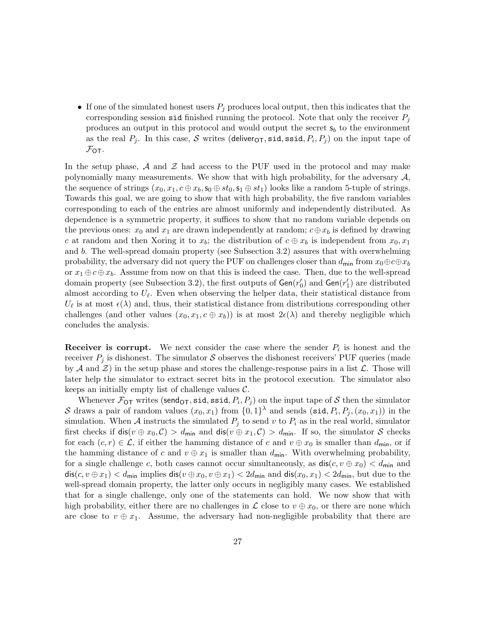• If one of the simulated honest users  $P_j$  produces local output, then this indicates that the corresponding session sid finished running the protocol. Note that only the receiver  $P_j$ produces an output in this protocol and would output the secret  $s_b$  to the environment as the real  $P_j$ . In this case, S writes (deliver<sub>OT</sub>, sid, ssid,  $P_i$ ,  $P_j$ ) on the input tape of  $\mathcal{F}_{\text{OT}}$ .

In the setup phase,  $A$  and  $B$  had access to the PUF used in the protocol and may make polynomially many measurements. We show that with high probability, for the adversary  $A$ , the sequence of strings  $(x_0, x_1, c \oplus x_b, s_0 \oplus st_0, s_1 \oplus st_1)$  looks like a random 5-tuple of strings. Towards this goal, we are going to show that with high probability, the five random variables corresponding to each of the entries are almost uniformly and independently distributed. As dependence is a symmetric property, it suffices to show that no random variable depends on the previous ones:  $x_0$  and  $x_1$  are drawn independently at random;  $c \oplus x_b$  is defined by drawing c at random and then Xoring it to  $x_b$ ; the distribution of  $c \oplus x_b$  is independent from  $x_0, x_1$ and b. The well-spread domain property (see Subsection 3.2) assures that with overwhelming probability, the adversary did not query the PUF on challenges closer than  $d_{\text{min}}$  from  $x_0 \oplus c \oplus x_b$ or  $x_1 \oplus c \oplus x_b$ . Assume from now on that this is indeed the case. Then, due to the well-spread domain property (see Subsection 3.2), the first outputs of  $\mathsf{Gen}(r'_0)$  and  $\mathsf{Gen}(r'_1)$  are distributed almost according to  $U_{\ell}$ . Even when observing the helper data, their statistical distance from  $U_{\ell}$  is at most  $\epsilon(\lambda)$  and, thus, their statistical distance from distributions corresponding other challenges (and other values  $(x_0, x_1, c \oplus x_b)$ ) is at most  $2\epsilon(\lambda)$  and thereby negligible which concludes the analysis.

**Receiver is corrupt.** We next consider the case where the sender  $P_i$  is honest and the receiver  $P_j$  is dishonest. The simulator S observes the dishonest receivers' PUF queries (made by A and  $\mathcal{Z}$ ) in the setup phase and stores the challenge-response pairs in a list  $\mathcal{L}$ . Those will later help the simulator to extract secret bits in the protocol execution. The simulator also keeps an initially empty list of challenge values  $\mathcal{C}$ .

Whenever  $\mathcal{F}_{\mathsf{OT}}$  writes (send<sub>OT</sub>, sid, ssid,  $P_i, P_j)$  on the input tape of  $\mathcal S$  then the simulator S draws a pair of random values  $(x_0, x_1)$  from  $\{0, 1\}^{\lambda}$  and sends  $(\text{sid}, P_i, P_j, (x_0, x_1))$  in the simulation. When A instructs the simulated  $P_i$  to send v to  $P_i$  as in the real world, simulator first checks if  $dis(v \oplus x_0, C) > d_{min}$  and  $dis(v \oplus x_1, C) > d_{min}$ . If so, the simulator S checks for each  $(c, r) \in \mathcal{L}$ , if either the hamming distance of c and  $v \oplus x_0$  is smaller than  $d_{\text{min}}$ , or if the hamming distance of c and  $v \oplus x_1$  is smaller than  $d_{\text{min}}$ . With overwhelming probability, for a single challenge c, both cases cannot occur simultaneously, as  $dis(c, v \oplus x_0) < d_{min}$  and  $\textsf{dis}(c, v \oplus x_1) < d_{\textsf{min}}$  implies  $\textsf{dis}(v \oplus x_0, v \oplus x_1) < 2d_{\textsf{min}}$  and  $\textsf{dis}(x_0, x_1) < 2d_{\textsf{min}}$ , but due to the well-spread domain property, the latter only occurs in negligibly many cases. We established that for a single challenge, only one of the statements can hold. We now show that with high probability, either there are no challenges in  $\mathcal L$  close to  $v \oplus x_0$ , or there are none which are close to  $v \oplus x_1$ . Assume, the adversary had non-negligible probability that there are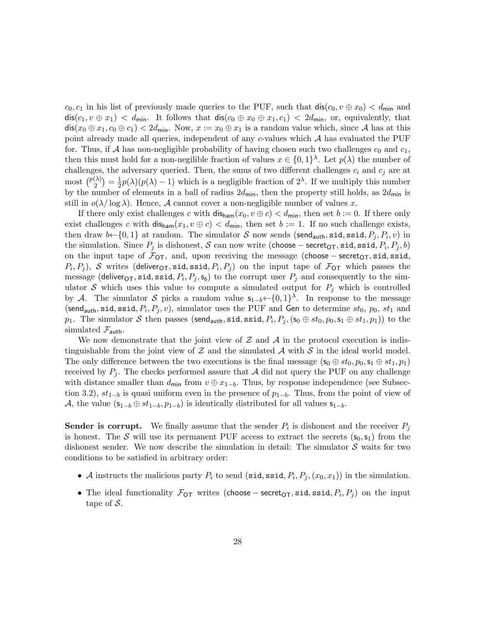$c_0, c_1$  in his list of previously made queries to the PUF, such that  $\text{dis}(c_0, v \oplus x_0) < d_{\text{min}}$  and  $\text{dis}(c_1, v \oplus x_1) < d_{\text{min}}$ . It follows that  $\text{dis}(c_0 \oplus x_0 \oplus x_1, c_1) < 2d_{\text{min}}$ , or, equivalently, that  $dis(x_0 \oplus x_1, c_0 \oplus c_1) < 2d_{\text{min}}$ . Now,  $x := x_0 \oplus x_1$  is a random value which, since A has at this point already made all queries, independent of any c-values which  $A$  has evaluated the PUF for. Thus, if  $A$  has non-negligible probability of having chosen such two challenges  $c_0$  and  $c_1$ , then this must hold for a non-negilible fraction of values  $x \in \{0,1\}^{\lambda}$ . Let  $p(\lambda)$  the number of challenges, the adversary queried. Then, the sums of two different challenges  $c_i$  and  $c_j$  are at most  $\binom{p(\lambda)}{2}$  $\binom{(\lambda)}{2} = \frac{1}{2}$  $\frac{1}{2}p(\lambda)(p(\lambda) - 1)$  which is a negligible fraction of  $2^{\lambda}$ . If we multiply this number by the number of elements in a ball of radius  $2d_{\text{min}}$ , then the property still holds, as  $2d_{\text{min}}$  is still in  $o(\lambda/\log\lambda)$ . Hence, A cannot cover a non-negligible number of values x.

If there only exist challenges c with  $dis_{\text{ham}}(x_0, v \oplus c) < d_{\text{min}}$ , then set  $b := 0$ . If there only exist challenges c with  $dis_{ham}(x_1, v \oplus c) < d_{min}$ , then set  $b := 1$ . If no such challenge exists, then draw  $b \leftarrow \{0, 1\}$  at random. The simulator  $\mathcal S$  now sends (send<sub>auth</sub>, sid, ssid,  $P_j, P_i, v)$  in the simulation. Since  $P_j$  is dishonest,  $\mathcal S$  can now write (choose – secret<sub>OT</sub>, sid, ssid,  $P_i, P_j, b$ ) on the input tape of  $\mathcal{F}_{OT}$ , and, upon receiving the message (choose – secret<sub>OT</sub>, sid, ssid,  $(P_i, P_j)$ ,  $S$  writes (deliver<sub>OT</sub>, sid, ssid,  $P_i, P_j$ ) on the input tape of  $\mathcal{F}_{\textsf{OT}}$  which passes the message (deliver<sub>OT</sub>, sid, ssid,  $P_i$ ,  $P_j$ , s<sub>b</sub>) to the corrupt user  $P_j$  and consequently to the simulator S which uses this value to compute a simulated output for  $P_i$  which is controlled by A. The simulator S picks a random value  $s_{1-b} \leftarrow \{0, 1\}^{\lambda}$ . In response to the message (send<sub>auth</sub>, sid, ssid,  $P_i$ ,  $P_j$ ,  $v$ ), simulator uses the PUF and Gen to determine  $st_0$ ,  $p_0$ ,  $st_1$  and  $p_1$ . The simulator  $\mathcal S$  then passes (send<sub>auth</sub>, sid, ssid,  $P_i, P_j,$  (s $_0 \oplus st_0, p_0,$  s $_1 \oplus st_1, p_1)$ ) to the simulated  $\mathcal{F}_{\mathsf{auth}}$ .

We now demonstrate that the joint view of  $\mathcal Z$  and  $\mathcal A$  in the protocol execution is indistinguishable from the joint view of  $\mathcal Z$  and the simulated  $\mathcal A$  with  $\mathcal S$  in the ideal world model. The only difference between the two executions is the final message  $(s_0 \oplus st_0, p_0, s_1 \oplus st_1, p_1)$ received by  $P_j$ . The checks performed assure that A did not query the PUF on any challenge with distance smaller than  $d_{\text{min}}$  from  $v \oplus x_{1-b}$ . Thus, by response independence (see Subsection 3.2),  $st_{1-b}$  is quasi uniform even in the presence of  $p_{1-b}$ . Thus, from the point of view of A, the value  $(s_{1-b} \oplus st_{1-b}, p_{1-b})$  is identically distributed for all values  $s_{1-b}$ .

**Sender is corrupt.** We finally assume that the sender  $P_i$  is dishonest and the receiver  $P_j$ is honest. The S will use its permanent PUF access to extract the secrets  $(s_0, s_1)$  from the dishonest sender. We now describe the simulation in detail: The simulator  $S$  waits for two conditions to be satisfied in arbitrary order:

- A instructs the malicious party  $P_i$  to send (sid, ssid,  $P_i$ ,  $P_j$ ,  $(x_0, x_1)$ ) in the simulation.
- The ideal functionality  $\mathcal{F}_{OT}$  writes (choose secret<sub>OT</sub>, sid, ssid,  $P_i, P_j$ ) on the input tape of  $S$ .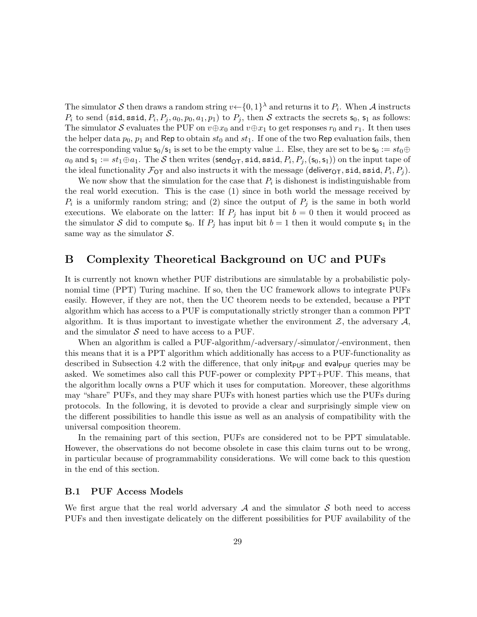The simulator S then draws a random string  $v \leftarrow \{0, 1\}^{\lambda}$  and returns it to  $P_i$ . When A instructs  $P_i$  to send (sid, ssid,  $P_i$ ,  $P_j$ ,  $a_0$ ,  $p_0$ ,  $a_1$ ,  $p_1$ ) to  $P_j$ , then S extracts the secrets  $s_0$ ,  $s_1$  as follows: The simulator S evaluates the PUF on  $v \oplus x_0$  and  $v \oplus x_1$  to get responses  $r_0$  and  $r_1$ . It then uses the helper data  $p_0$ ,  $p_1$  and Rep to obtain  $st_0$  and  $st_1$ . If one of the two Rep evaluation fails, then the corresponding value  $s_0/s_1$  is set to be the empty value  $\perp$ . Else, they are set to be  $s_0 := st_0 \oplus$  $a_0$  and  ${\sf s}_1:=st_1\oplus a_1.$  The  ${\cal S}$  then writes (send $_{\sf OT},$  sid,  ${\sf s}$ sid,  $P_i,P_j,({\sf s}_0,{\sf s}_1))$  on the input tape of the ideal functionality  $\mathcal{F}_{\textsf{OT}}$  and also instructs it with the message (deliver $_{\textsf{OT}},$  sid, ssid,  $P_i, P_j$ ).

We now show that the simulation for the case that  $P_i$  is dishonest is indistinguishable from the real world execution. This is the case (1) since in both world the message received by  $P_i$  is a uniformly random string; and (2) since the output of  $P_j$  is the same in both world executions. We elaborate on the latter: If  $P_j$  has input bit  $b = 0$  then it would proceed as the simulator S did to compute  $s_0$ . If  $P_j$  has input bit  $b = 1$  then it would compute  $s_1$  in the same way as the simulator  $S$ .

# B Complexity Theoretical Background on UC and PUFs

It is currently not known whether PUF distributions are simulatable by a probabilistic polynomial time (PPT) Turing machine. If so, then the UC framework allows to integrate PUFs easily. However, if they are not, then the UC theorem needs to be extended, because a PPT algorithm which has access to a PUF is computationally strictly stronger than a common PPT algorithm. It is thus important to investigate whether the environment  $\mathcal{Z}$ , the adversary  $\mathcal{A}$ , and the simulator  $S$  need to have access to a PUF.

When an algorithm is called a PUF-algorithm/-adversary/-simulator/-environment, then this means that it is a PPT algorithm which additionally has access to a PUF-functionality as described in Subsection 4.2 with the difference, that only init<sub>PUF</sub> and eval<sub>PUF</sub> queries may be asked. We sometimes also call this PUF-power or complexity PPT+PUF. This means, that the algorithm locally owns a PUF which it uses for computation. Moreover, these algorithms may "share" PUFs, and they may share PUFs with honest parties which use the PUFs during protocols. In the following, it is devoted to provide a clear and surprisingly simple view on the different possibilities to handle this issue as well as an analysis of compatibility with the universal composition theorem.

In the remaining part of this section, PUFs are considered not to be PPT simulatable. However, the observations do not become obsolete in case this claim turns out to be wrong, in particular because of programmability considerations. We will come back to this question in the end of this section.

#### B.1 PUF Access Models

We first argue that the real world adversary  $A$  and the simulator  $S$  both need to access PUFs and then investigate delicately on the different possibilities for PUF availability of the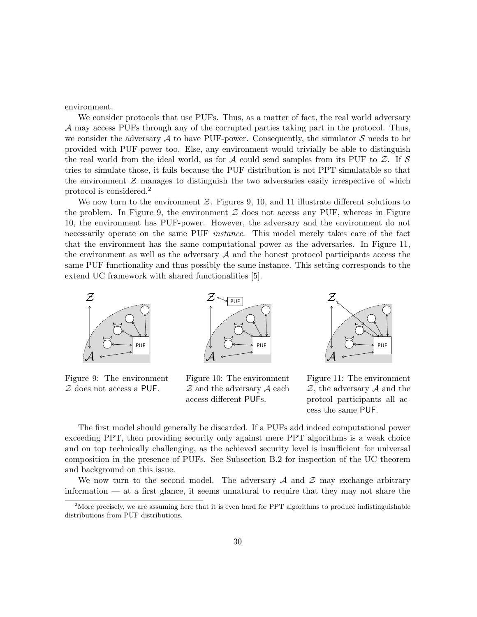environment.

We consider protocols that use PUFs. Thus, as a matter of fact, the real world adversary A may access PUFs through any of the corrupted parties taking part in the protocol. Thus, we consider the adversary A to have PUF-power. Consequently, the simulator  $S$  needs to be provided with PUF-power too. Else, any environment would trivially be able to distinguish the real world from the ideal world, as for A could send samples from its PUF to  $Z$ . If S tries to simulate those, it fails because the PUF distribution is not PPT-simulatable so that the environment  $\mathcal Z$  manages to distinguish the two adversaries easily irrespective of which protocol is considered.<sup>2</sup>

We now turn to the environment  $\mathcal{Z}$ . Figures 9, 10, and 11 illustrate different solutions to the problem. In Figure 9, the environment  $\mathcal Z$  does not access any PUF, whereas in Figure 10, the environment has PUF-power. However, the adversary and the environment do not necessarily operate on the same PUF *instance*. This model merely takes care of the fact that the environment has the same computational power as the adversaries. In Figure 11, the environment as well as the adversary  $A$  and the honest protocol participants access the same PUF functionality and thus possibly the same instance. This setting corresponds to the extend UC framework with shared functionalities [5].



Figure 9: The environment Z does not access a PUF.



Figure 10: The environment  $Z$  and the adversary  $A$  each access different PUFs.



Figure 11: The environment  $Z$ , the adversary  $A$  and the protcol participants all access the same PUF.

The first model should generally be discarded. If a PUFs add indeed computational power exceeding PPT, then providing security only against mere PPT algorithms is a weak choice and on top technically challenging, as the achieved security level is insufficient for universal composition in the presence of PUFs. See Subsection B.2 for inspection of the UC theorem and background on this issue.

We now turn to the second model. The adversary  $A$  and  $Z$  may exchange arbitrary information — at a first glance, it seems unnatural to require that they may not share the

<sup>&</sup>lt;sup>2</sup>More precisely, we are assuming here that it is even hard for PPT algorithms to produce indistinguishable distributions from PUF distributions.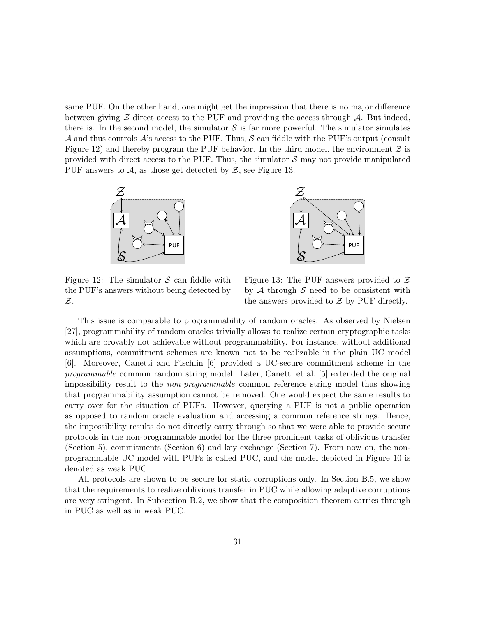same PUF. On the other hand, one might get the impression that there is no major difference between giving  $\mathcal Z$  direct access to the PUF and providing the access through  $\mathcal A$ . But indeed, there is. In the second model, the simulator  $\mathcal S$  is far more powerful. The simulator simulates A and thus controls  $\mathcal{A}$ 's access to the PUF. Thus,  $\mathcal{S}$  can fiddle with the PUF's output (consult Figure 12) and thereby program the PUF behavior. In the third model, the environment  $\mathcal Z$  is provided with direct access to the PUF. Thus, the simulator  $\mathcal S$  may not provide manipulated PUF answers to A, as those get detected by  $\mathcal{Z}$ , see Figure 13.





Figure 12: The simulator  $S$  can fiddle with the PUF's answers without being detected by  $\mathcal{Z}.$ 

Figure 13: The PUF answers provided to  $\mathcal Z$ by  $A$  through  $S$  need to be consistent with the answers provided to  $\mathcal Z$  by PUF directly.

This issue is comparable to programmability of random oracles. As observed by Nielsen [27], programmability of random oracles trivially allows to realize certain cryptographic tasks which are provably not achievable without programmability. For instance, without additional assumptions, commitment schemes are known not to be realizable in the plain UC model [6]. Moreover, Canetti and Fischlin [6] provided a UC-secure commitment scheme in the programmable common random string model. Later, Canetti et al. [5] extended the original impossibility result to the non-programmable common reference string model thus showing that programmability assumption cannot be removed. One would expect the same results to carry over for the situation of PUFs. However, querying a PUF is not a public operation as opposed to random oracle evaluation and accessing a common reference strings. Hence, the impossibility results do not directly carry through so that we were able to provide secure protocols in the non-programmable model for the three prominent tasks of oblivious transfer (Section 5), commitments (Section 6) and key exchange (Section 7). From now on, the nonprogrammable UC model with PUFs is called PUC, and the model depicted in Figure 10 is denoted as weak PUC.

All protocols are shown to be secure for static corruptions only. In Section B.5, we show that the requirements to realize oblivious transfer in PUC while allowing adaptive corruptions are very stringent. In Subsection B.2, we show that the composition theorem carries through in PUC as well as in weak PUC.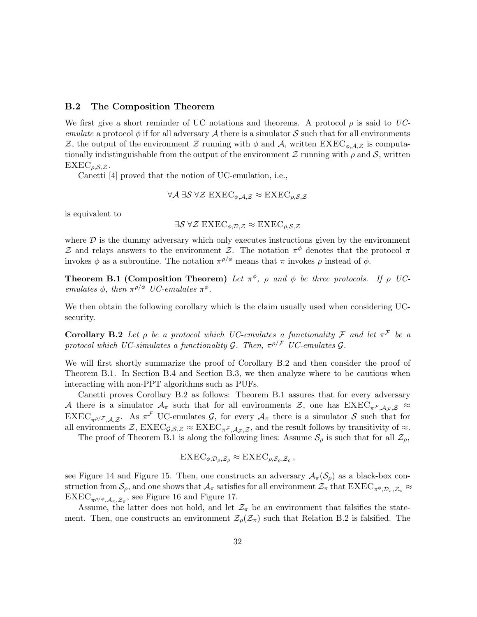### B.2 The Composition Theorem

We first give a short reminder of UC notations and theorems. A protocol  $\rho$  is said to UCemulate a protocol  $\phi$  if for all adversary A there is a simulator S such that for all environments Z, the output of the environment Z running with  $\phi$  and  $\mathcal{A}$ , written  $\text{EXEC}_{\phi,\mathcal{A},\mathcal{Z}}$  is computationally indistinguishable from the output of the environment  $\mathcal Z$  running with  $\rho$  and  $\mathcal S$ , written  $EXEC_{\rho,\mathcal{S},\mathcal{Z}}$ .

Canetti [4] proved that the notion of UC-emulation, i.e.,

$$
\forall \mathcal{A} \exists \mathcal{S} \ \forall \mathcal{Z} \ \mathbf{EXEC}_{\phi,\mathcal{A},\mathcal{Z}} \approx \mathbf{EXEC}_{\rho,\mathcal{S},\mathcal{Z}}
$$

is equivalent to

$$
\exists \mathcal{S} \,\forall \mathcal{Z} \,\, \mathrm{EXEC}_{\phi,\mathcal{D},\mathcal{Z}} \approx \mathrm{EXEC}_{\rho,\mathcal{S},\mathcal{Z}}
$$

where  $D$  is the dummy adversary which only executes instructions given by the environment Z and relays answers to the environment Z. The notation  $\pi^{\phi}$  denotes that the protocol  $\pi$ invokes  $\phi$  as a subroutine. The notation  $\pi^{\rho/\phi}$  means that  $\pi$  invokes  $\rho$  instead of  $\phi$ .

**Theorem B.1 (Composition Theorem)** Let  $\pi^{\phi}$ ,  $\rho$  and  $\phi$  be three protocols. If  $\rho$  UCemulates  $\phi$ , then  $\pi^{\rho/\phi}$  UC-emulates  $\pi^{\phi}$ .

We then obtain the following corollary which is the claim usually used when considering UCsecurity.

**Corollary B.2** Let  $\rho$  be a protocol which UC-emulates a functionality F and let  $\pi^{\mathcal{F}}$  be a protocol which UC-simulates a functionality G. Then,  $\pi^{\rho/\mathcal{F}}$  UC-emulates G.

We will first shortly summarize the proof of Corollary B.2 and then consider the proof of Theorem B.1. In Section B.4 and Section B.3, we then analyze where to be cautious when interacting with non-PPT algorithms such as PUFs.

Canetti proves Corollary B.2 as follows: Theorem B.1 assures that for every adversary A there is a simulator  $A_\pi$  such that for all environments Z, one has  $\text{EXEC}_{\pi^F,\mathcal{A}_F,\mathcal{Z}} \approx$  $\text{EXEC}_{\pi^{\rho/\mathcal{F}},\mathcal{A},\mathcal{Z}}$ . As  $\pi^{\mathcal{F}}$  UC-emulates  $\mathcal{G}$ , for every  $\mathcal{A}_{\pi}$  there is a simulator  $\mathcal{S}$  such that for all environments  $\mathcal{Z}, \text{EXEC}_{\mathcal{G}, \mathcal{S}, \mathcal{Z}} \approx \text{EXEC}_{\pi^{\mathcal{F}}, \mathcal{A}_{\mathcal{F}}, \mathcal{Z}}$ , and the result follows by transitivity of  $\approx$ .

The proof of Theorem B.1 is along the following lines: Assume  $S_\rho$  is such that for all  $\mathcal{Z}_\rho$ ,

$$
\mathrm{EXEC}_{\phi,\mathcal{D}_{\rho},\mathcal{Z}_{\rho}} \approx \mathrm{EXEC}_{\rho,\mathcal{S}_{\rho},\mathcal{Z}_{\rho}},
$$

see Figure 14 and Figure 15. Then, one constructs an adversary  $\mathcal{A}_{\pi}(\mathcal{S}_o)$  as a black-box construction from  $\mathcal{S}_{\rho}$ , and one shows that  $\mathcal{A}_{\pi}$  satisfies for all environment  $\mathcal{Z}_{\pi}$  that  $\text{EXEC}_{\pi^{\phi},\mathcal{D}_{\pi},\mathcal{Z}_{\pi}} \approx$  $\text{EXEC}_{\pi^{\rho/\phi}, \mathcal{A}_{\pi}, \mathcal{Z}_{\pi}}$ , see Figure 16 and Figure 17.

Assume, the latter does not hold, and let  $\mathcal{Z}_{\pi}$  be an environment that falsifies the statement. Then, one constructs an environment  $\mathcal{Z}_{\rho}(\mathcal{Z}_{\pi})$  such that Relation B.2 is falsified. The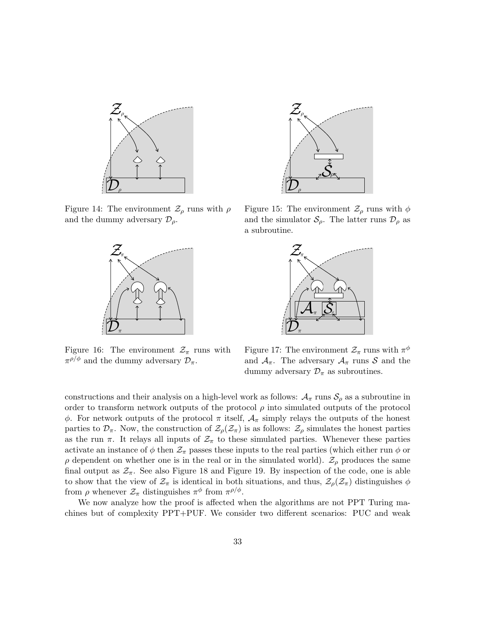

Figure 14: The environment  $\mathcal{Z}_{\rho}$  runs with  $\rho$ and the dummy adversary  $\mathcal{D}_{\rho}$ .



Figure 16: The environment  $\mathcal{Z}_{\pi}$  runs with  $\pi^{\rho/\phi}$  and the dummy adversary  $\mathcal{D}_{\pi}$ .



Figure 15: The environment  $\mathcal{Z}_{\rho}$  runs with  $\phi$ and the simulator  $\mathcal{S}_{\rho}$ . The latter runs  $\mathcal{D}_{\rho}$  as a subroutine.



Figure 17: The environment  $\mathcal{Z}_{\pi}$  runs with  $\pi^{\phi}$ and  $A_{\pi}$ . The adversary  $A_{\pi}$  runs S and the dummy adversary  $\mathcal{D}_{\pi}$  as subroutines.

constructions and their analysis on a high-level work as follows:  $A_{\pi}$  runs  $S_{\rho}$  as a subroutine in order to transform network outputs of the protocol  $\rho$  into simulated outputs of the protocol φ. For network outputs of the protocol π itself,  $A_\pi$  simply relays the outputs of the honest parties to  $\mathcal{D}_{\pi}$ . Now, the construction of  $\mathcal{Z}_{\rho}(\mathcal{Z}_{\pi})$  is as follows:  $\mathcal{Z}_{\rho}$  simulates the honest parties as the run  $\pi$ . It relays all inputs of  $\mathcal{Z}_{\pi}$  to these simulated parties. Whenever these parties activate an instance of  $\phi$  then  $\mathcal{Z}_{\pi}$  passes these inputs to the real parties (which either run  $\phi$  or  $\rho$  dependent on whether one is in the real or in the simulated world).  $\mathcal{Z}_{\rho}$  produces the same final output as  $\mathcal{Z}_{\pi}$ . See also Figure 18 and Figure 19. By inspection of the code, one is able to show that the view of  $\mathcal{Z}_{\pi}$  is identical in both situations, and thus,  $\mathcal{Z}_{\rho}(\mathcal{Z}_{\pi})$  distinguishes  $\phi$ from  $\rho$  whenever  $\mathcal{Z}_{\pi}$  distinguishes  $\pi^{\phi}$  from  $\pi^{\rho/\phi}$ .

We now analyze how the proof is affected when the algorithms are not PPT Turing machines but of complexity PPT+PUF. We consider two different scenarios: PUC and weak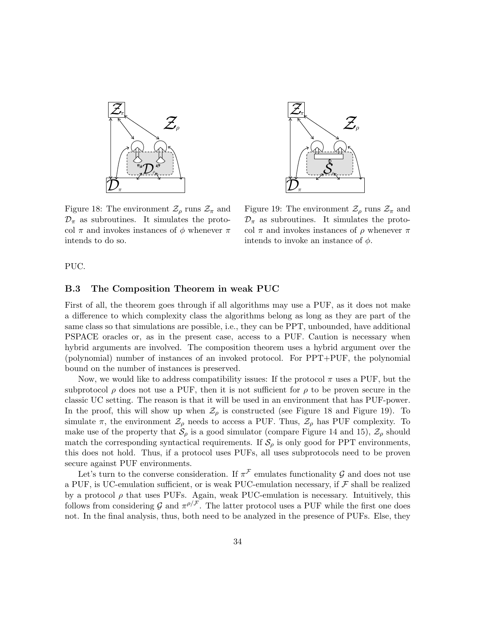

Figure 18: The environment  $\mathcal{Z}_{\rho}$  runs  $\mathcal{Z}_{\pi}$  and  $\mathcal{D}_{\pi}$  as subroutines. It simulates the protocol  $\pi$  and invokes instances of  $\phi$  whenever  $\pi$ intends to do so.



Figure 19: The environment  $\mathcal{Z}_{\rho}$  runs  $\mathcal{Z}_{\pi}$  and  $\mathcal{D}_{\pi}$  as subroutines. It simulates the protocol  $\pi$  and invokes instances of  $\rho$  whenever  $\pi$ intends to invoke an instance of  $\phi$ .

PUC.

#### B.3 The Composition Theorem in weak PUC

First of all, the theorem goes through if all algorithms may use a PUF, as it does not make a difference to which complexity class the algorithms belong as long as they are part of the same class so that simulations are possible, i.e., they can be PPT, unbounded, have additional PSPACE oracles or, as in the present case, access to a PUF. Caution is necessary when hybrid arguments are involved. The composition theorem uses a hybrid argument over the (polynomial) number of instances of an invoked protocol. For PPT+PUF, the polynomial bound on the number of instances is preserved.

Now, we would like to address compatibility issues: If the protocol  $\pi$  uses a PUF, but the subprotocol  $\rho$  does not use a PUF, then it is not sufficient for  $\rho$  to be proven secure in the classic UC setting. The reason is that it will be used in an environment that has PUF-power. In the proof, this will show up when  $\mathcal{Z}_{\rho}$  is constructed (see Figure 18 and Figure 19). To simulate  $\pi$ , the environment  $\mathcal{Z}_{\rho}$  needs to access a PUF. Thus,  $\mathcal{Z}_{\rho}$  has PUF complexity. To make use of the property that  $S_\rho$  is a good simulator (compare Figure 14 and 15),  $\mathcal{Z}_\rho$  should match the corresponding syntactical requirements. If  $S_\rho$  is only good for PPT environments, this does not hold. Thus, if a protocol uses PUFs, all uses subprotocols need to be proven secure against PUF environments.

Let's turn to the converse consideration. If  $\pi^{\mathcal{F}}$  emulates functionality  $\mathcal{G}$  and does not use a PUF, is UC-emulation sufficient, or is weak PUC-emulation necessary, if  $\mathcal F$  shall be realized by a protocol  $\rho$  that uses PUFs. Again, weak PUC-emulation is necessary. Intuitively, this follows from considering G and  $\pi^{\rho/\mathcal{F}}$ . The latter protocol uses a PUF while the first one does not. In the final analysis, thus, both need to be analyzed in the presence of PUFs. Else, they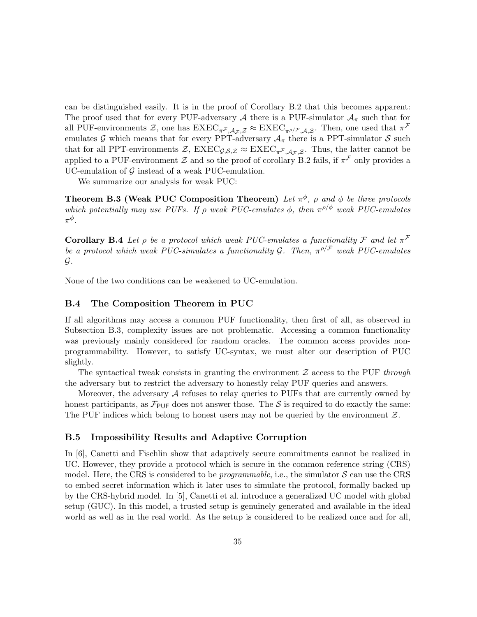can be distinguished easily. It is in the proof of Corollary B.2 that this becomes apparent: The proof used that for every PUF-adversary A there is a PUF-simulator  $A_{\pi}$  such that for all PUF-environments  $\mathcal{Z}$ , one has  $\text{EXEC}_{\pi^{\mathcal{F}},\mathcal{A}_{\mathcal{F}},\mathcal{Z}} \approx \text{EXEC}_{\pi^{\rho/\mathcal{F}},\mathcal{A},\mathcal{Z}}$ . Then, one used that  $\pi^{\mathcal{F}}$ emulates G which means that for every PPT-adversary  $A_{\pi}$  there is a PPT-simulator S such that for all PPT-environments  $\mathcal{Z}, \text{EXEC}_{\mathcal{G},\mathcal{S},\mathcal{Z}} \approx \text{EXEC}_{\pi^F,\mathcal{A}_{\pi},\mathcal{Z}}$ . Thus, the latter cannot be applied to a PUF-environment  $\mathcal Z$  and so the proof of corollary B.2 fails, if  $\pi^{\mathcal F}$  only provides a UC-emulation of  $G$  instead of a weak PUC-emulation.

We summarize our analysis for weak PUC:

**Theorem B.3 (Weak PUC Composition Theorem)** Let  $\pi^{\phi}$ ,  $\rho$  and  $\phi$  be three protocols which potentially may use PUFs. If  $\rho$  weak PUC-emulates  $\phi$ , then  $\pi^{\rho/\phi}$  weak PUC-emulates  $\pi^{\phi}$ .

**Corollary B.4** Let  $\rho$  be a protocol which weak PUC-emulates a functionality F and let  $\pi^{\mathcal{F}}$ be a protocol which weak PUC-simulates a functionality G. Then,  $\pi^{\rho/\mathcal{F}}$  weak PUC-emulates G.

None of the two conditions can be weakened to UC-emulation.

### B.4 The Composition Theorem in PUC

If all algorithms may access a common PUF functionality, then first of all, as observed in Subsection B.3, complexity issues are not problematic. Accessing a common functionality was previously mainly considered for random oracles. The common access provides nonprogrammability. However, to satisfy UC-syntax, we must alter our description of PUC slightly.

The syntactical tweak consists in granting the environment  $Z$  access to the PUF through the adversary but to restrict the adversary to honestly relay PUF queries and answers.

Moreover, the adversary  $A$  refuses to relay queries to PUFs that are currently owned by honest participants, as  $\mathcal{F}_{\text{PIF}}$  does not answer those. The S is required to do exactly the same: The PUF indices which belong to honest users may not be queried by the environment  $Z$ .

### B.5 Impossibility Results and Adaptive Corruption

In [6], Canetti and Fischlin show that adaptively secure commitments cannot be realized in UC. However, they provide a protocol which is secure in the common reference string (CRS) model. Here, the CRS is considered to be *programmable*, i.e., the simulator  $S$  can use the CRS to embed secret information which it later uses to simulate the protocol, formally backed up by the CRS-hybrid model. In [5], Canetti et al. introduce a generalized UC model with global setup (GUC). In this model, a trusted setup is genuinely generated and available in the ideal world as well as in the real world. As the setup is considered to be realized once and for all,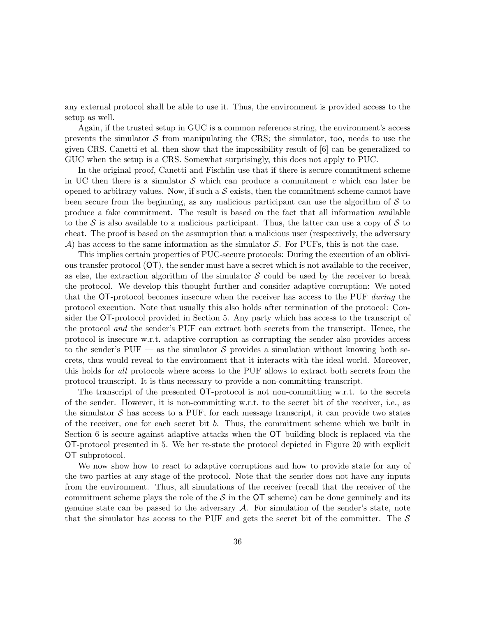any external protocol shall be able to use it. Thus, the environment is provided access to the setup as well.

Again, if the trusted setup in GUC is a common reference string, the environment's access prevents the simulator  $\mathcal S$  from manipulating the CRS; the simulator, too, needs to use the given CRS. Canetti et al. then show that the impossibility result of [6] can be generalized to GUC when the setup is a CRS. Somewhat surprisingly, this does not apply to PUC.

In the original proof, Canetti and Fischlin use that if there is secure commitment scheme in UC then there is a simulator  $S$  which can produce a commitment c which can later be opened to arbitrary values. Now, if such a  $S$  exists, then the commitment scheme cannot have been secure from the beginning, as any malicious participant can use the algorithm of  $\mathcal S$  to produce a fake commitment. The result is based on the fact that all information available to the S is also available to a malicious participant. Thus, the latter can use a copy of S to cheat. The proof is based on the assumption that a malicious user (respectively, the adversary  $\mathcal{A}$ ) has access to the same information as the simulator S. For PUFs, this is not the case.

This implies certain properties of PUC-secure protocols: During the execution of an oblivious transfer protocol (OT), the sender must have a secret which is not available to the receiver, as else, the extraction algorithm of the simulator  $S$  could be used by the receiver to break the protocol. We develop this thought further and consider adaptive corruption: We noted that the OT-protocol becomes insecure when the receiver has access to the PUF during the protocol execution. Note that usually this also holds after termination of the protocol: Consider the OT-protocol provided in Section 5. Any party which has access to the transcript of the protocol and the sender's PUF can extract both secrets from the transcript. Hence, the protocol is insecure w.r.t. adaptive corruption as corrupting the sender also provides access to the sender's  $PUF$  — as the simulator S provides a simulation without knowing both secrets, thus would reveal to the environment that it interacts with the ideal world. Moreover, this holds for all protocols where access to the PUF allows to extract both secrets from the protocol transcript. It is thus necessary to provide a non-committing transcript.

The transcript of the presented OT-protocol is not non-committing w.r.t. to the secrets of the sender. However, it is non-committing w.r.t. to the secret bit of the receiver, i.e., as the simulator  $\mathcal S$  has access to a PUF, for each message transcript, it can provide two states of the receiver, one for each secret bit  $b$ . Thus, the commitment scheme which we built in Section 6 is secure against adaptive attacks when the OT building block is replaced via the OT-protocol presented in 5. We her re-state the protocol depicted in Figure 20 with explicit OT subprotocol.

We now show how to react to adaptive corruptions and how to provide state for any of the two parties at any stage of the protocol. Note that the sender does not have any inputs from the environment. Thus, all simulations of the receiver (recall that the receiver of the commitment scheme plays the role of the  $S$  in the  $\overline{OT}$  scheme) can be done genuinely and its genuine state can be passed to the adversary A. For simulation of the sender's state, note that the simulator has access to the PUF and gets the secret bit of the committer. The  $S$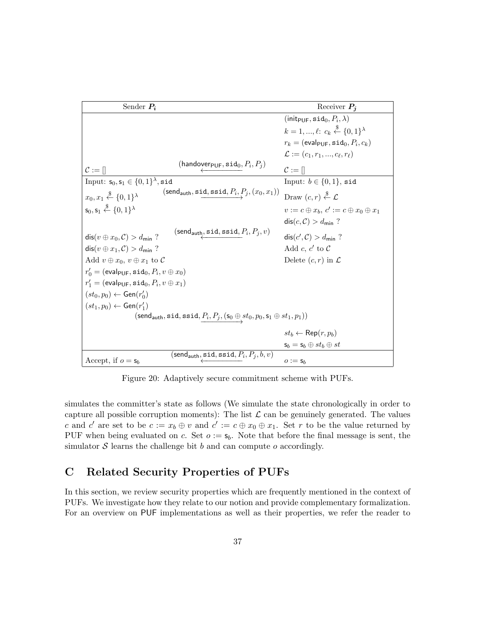| Sender $P_i$                                                                                                                                      | Receiver $P_i$                                                    |  |
|---------------------------------------------------------------------------------------------------------------------------------------------------|-------------------------------------------------------------------|--|
|                                                                                                                                                   | $(\textsf{init}_{\textsf{PIF}}, \textsf{sid}_0, P_i, \lambda)$    |  |
|                                                                                                                                                   | $k = 1, , \ell: c_k \stackrel{\$}{\leftarrow} \{0, 1\}^{\lambda}$ |  |
|                                                                                                                                                   | $r_k = (eval_{\text{PIF}}, \text{sid}_0, P_i, c_k)$               |  |
|                                                                                                                                                   | $\mathcal{L} := (c_1, r_1, , c_{\ell}, r_{\ell})$                 |  |
| $(\textsf{handover}_{\textsf{PUF}}, \textsf{sid}_0, P_i, P_j)$<br>$\mathcal{C} := \left[ \right]$                                                 | $\mathcal{C} := \mathbb{I}$                                       |  |
| Input: $\mathsf{s}_0, \mathsf{s}_1 \in \{0,1\}^{\lambda}, \text{sid}$                                                                             | Input: $b \in \{0,1\}$ , sid                                      |  |
| $(\mathsf{send_{auth}}, \mathsf{sid}, \mathsf{ssid}, P_i, P_j, (x_0, x_1))$<br>$x_0, x_1 \stackrel{\$}{\leftarrow} \{0,1\}^{\lambda}$             | Draw $(c, r) \overset{\$}{\leftarrow} \mathcal{L}$                |  |
| $\mathsf{s}_0, \mathsf{s}_1 \overset{\$}{\leftarrow} \{0,1\}^{\lambda}$                                                                           | $v := c \oplus x_h, c' := c \oplus x_0 \oplus x_1$                |  |
|                                                                                                                                                   | $dis(c, C) > d_{min}$ ?                                           |  |
| $(\mathsf{send_{auth}}, \mathsf{sid}, \mathsf{ssid}, P_i, P_j, v)$<br>$dis(v \oplus x_0, C) > d_{min}$ ?                                          | $dis(c', C) > d_{min}$ ?                                          |  |
| $dis(v \oplus x_1, C) > d_{\min}$ ?                                                                                                               | Add c, c' to $\mathcal C$                                         |  |
| Add $v \oplus x_0, v \oplus x_1$ to C                                                                                                             | Delete $(c, r)$ in $\mathcal L$                                   |  |
| $r'_0$ = (evalp <sub>UF</sub> , sid <sub>0</sub> , $P_i$ , $v \oplus x_0$ )                                                                       |                                                                   |  |
| $r'_1$ = (evalp <sub>UF</sub> , sid <sub>0</sub> , $P_i$ , $v \oplus x_1$ )                                                                       |                                                                   |  |
| $(st_0, p_0) \leftarrow \mathsf{Gen}(r'_0)$                                                                                                       |                                                                   |  |
| $(st_1, p_0) \leftarrow \mathsf{Gen}(r'_1)$                                                                                                       |                                                                   |  |
| $(\mathsf{send_{auth}}, \mathsf{sid}, \mathsf{ssid}, P_i, P_j, (\mathsf{s_0} \oplus \mathsf{st_0}, p_0, \mathsf{s_1} \oplus \mathsf{st_1}, p_1))$ |                                                                   |  |
|                                                                                                                                                   | $st_b \leftarrow \mathsf{Rep}(r, p_b)$                            |  |
|                                                                                                                                                   | $\mathsf{s}_b = \mathsf{s}_b \oplus st_b \oplus st$               |  |
| $(\mathsf{send_{auth}}, \mathsf{sid}, \mathsf{ssid}, P_i, P_j, b, v)$                                                                             |                                                                   |  |
| Accept, if $o = s_b$                                                                                                                              | $o := s_h$                                                        |  |

Figure 20: Adaptively secure commitment scheme with PUFs.

simulates the committer's state as follows (We simulate the state chronologically in order to capture all possible corruption moments): The list  $\mathcal L$  can be genuinely generated. The values c and c' are set to be  $c := x_b \oplus v$  and  $c' := c \oplus x_0 \oplus x_1$ . Set r to be the value returned by PUF when being evaluated on c. Set  $o := s_b$ . Note that before the final message is sent, the simulator  $S$  learns the challenge bit b and can compute o accordingly.

# C Related Security Properties of PUFs

In this section, we review security properties which are frequently mentioned in the context of PUFs. We investigate how they relate to our notion and provide complementary formalization. For an overview on PUF implementations as well as their properties, we refer the reader to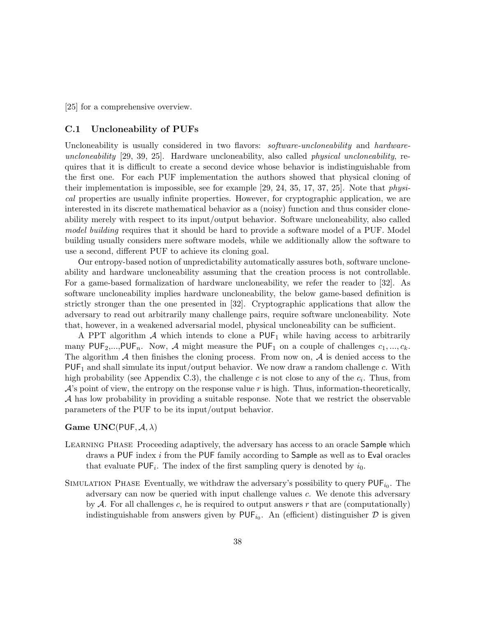[25] for a comprehensive overview.

### C.1 Uncloneability of PUFs

Uncloneability is usually considered in two flavors: *software-uncloneability* and *hardware*uncloneability [29, 39, 25]. Hardware uncloneability, also called physical uncloneability, requires that it is difficult to create a second device whose behavior is indistinguishable from the first one. For each PUF implementation the authors showed that physical cloning of their implementation is impossible, see for example  $[29, 24, 35, 17, 37, 25]$ . Note that *physi*cal properties are usually infinite properties. However, for cryptographic application, we are interested in its discrete mathematical behavior as a (noisy) function and thus consider cloneability merely with respect to its input/output behavior. Software uncloneability, also called model building requires that it should be hard to provide a software model of a PUF. Model building usually considers mere software models, while we additionally allow the software to use a second, different PUF to achieve its cloning goal.

Our entropy-based notion of unpredictability automatically assures both, software uncloneability and hardware uncloneability assuming that the creation process is not controllable. For a game-based formalization of hardware uncloneability, we refer the reader to [32]. As software uncloneability implies hardware uncloneability, the below game-based definition is strictly stronger than the one presented in [32]. Cryptographic applications that allow the adversary to read out arbitrarily many challenge pairs, require software uncloneability. Note that, however, in a weakened adversarial model, physical uncloneability can be sufficient.

A PPT algorithm  $\mathcal A$  which intends to clone a PUF<sub>1</sub> while having access to arbitrarily many PUF<sub>2</sub>,...,PUF<sub>n</sub>. Now, A might measure the PUF<sub>1</sub> on a couple of challenges  $c_1, ..., c_k$ . The algorithm  $\mathcal A$  then finishes the cloning process. From now on,  $\mathcal A$  is denied access to the  $PUF<sub>1</sub>$  and shall simulate its input/output behavior. We now draw a random challenge c. With high probability (see Appendix C.3), the challenge  $c$  is not close to any of the  $c_i$ . Thus, from  $\mathcal{A}$ 's point of view, the entropy on the response value r is high. Thus, information-theoretically, A has low probability in providing a suitable response. Note that we restrict the observable parameters of the PUF to be its input/output behavior.

#### Game  $UNC(PUF, A, \lambda)$

- Learning Phase Proceeding adaptively, the adversary has access to an oracle Sample which draws a PUF index  $i$  from the PUF family according to Sample as well as to Eval oracles that evaluate  $\text{PUF}_i$ . The index of the first sampling query is denoted by  $i_0$ .
- SIMULATION PHASE Eventually, we withdraw the adversary's possibility to query  $\mathsf{PUF}_{i_0}$ . The adversary can now be queried with input challenge values c. We denote this adversary by  $A$ . For all challenges c, he is required to output answers r that are (computationally) indistinguishable from answers given by  $\mathsf{PUF}_{i_0}$ . An (efficient) distinguisher  $\mathcal D$  is given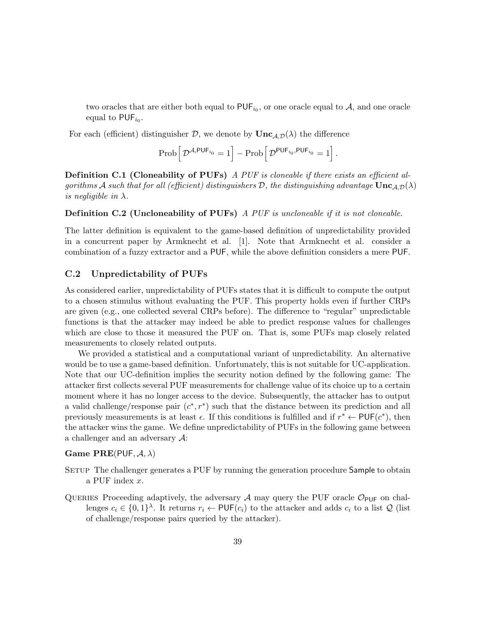two oracles that are either both equal to  $\mathsf{PUF}_{i_0}$ , or one oracle equal to  $\mathcal{A}$ , and one oracle equal to  $\mathsf{PUF}_{i_0}.$ 

For each (efficient) distinguisher D, we denote by  $\text{Unc}_{\mathcal{A},\mathcal{D}}(\lambda)$  the difference

$$
\operatorname{Prob}\Big[\mathcal{D}^{\mathcal{A},\mathsf{PUF}_{i_0}}=1\Big]-\operatorname{Prob}\Big[\mathcal{D}^{\mathsf{PUF}_{i_0},\mathsf{PUF}_{i_0}}=1\Big]\,.
$$

**Definition C.1 (Cloneability of PUFs)** A PUF is cloneable if there exists an efficient algorithms A such that for all (efficient) distinguishers D, the distinguishing advantage  $\text{Unc}_{A,\mathcal{D}}(\lambda)$ is negligible in  $\lambda$ .

### **Definition C.2 (Uncloneability of PUFs)** A PUF is uncloneable if it is not cloneable.

The latter definition is equivalent to the game-based definition of unpredictability provided in a concurrent paper by Armknecht et al. [1]. Note that Armknecht et al. consider a combination of a fuzzy extractor and a PUF, while the above definition considers a mere PUF.

# C.2 Unpredictability of PUFs

As considered earlier, unpredictability of PUFs states that it is difficult to compute the output to a chosen stimulus without evaluating the PUF. This property holds even if further CRPs are given (e.g., one collected several CRPs before). The difference to "regular" unpredictable functions is that the attacker may indeed be able to predict response values for challenges which are close to those it measured the PUF on. That is, some PUFs map closely related measurements to closely related outputs.

We provided a statistical and a computational variant of unpredictability. An alternative would be to use a game-based definition. Unfortunately, this is not suitable for UC-application. Note that our UC-definition implies the security notion defined by the following game: The attacker first collects several PUF measurements for challenge value of its choice up to a certain moment where it has no longer access to the device. Subsequently, the attacker has to output a valid challenge/response pair  $(c^*, r^*)$  such that the distance between its prediction and all previously measurements is at least  $\epsilon$ . If this conditions is fulfilled and if  $r^* \leftarrow \text{PUF}(c^*)$ , then the attacker wins the game. We define unpredictability of PUFs in the following game between a challenger and an adversary A:

# Game  $PRE(PUF, A, \lambda)$

- SETUP The challenger generates a PUF by running the generation procedure Sample to obtain a PUF index x.
- QUERIES Proceeding adaptively, the adversary  $A$  may query the PUF oracle  $\mathcal{O}_{\text{PUF}}$  on challenges  $c_i \in \{0,1\}^{\lambda}$ . It returns  $r_i \leftarrow \text{PUF}(c_i)$  to the attacker and adds  $c_i$  to a list  $\mathcal{Q}$  (list of challenge/response pairs queried by the attacker).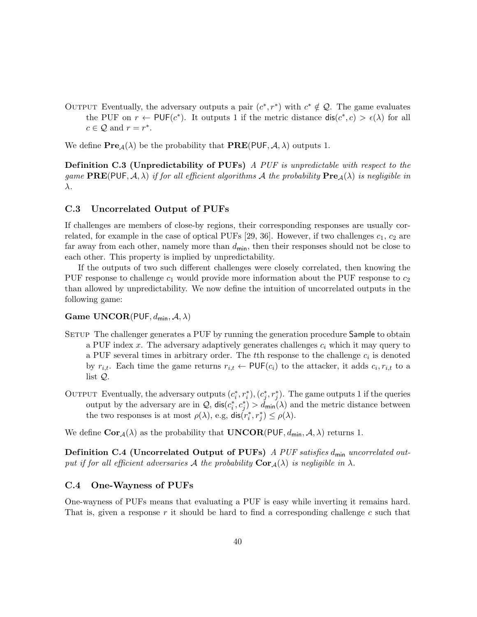OUTPUT Eventually, the adversary outputs a pair  $(c^*, r^*)$  with  $c^* \notin \mathcal{Q}$ . The game evaluates the PUF on  $r \leftarrow \text{PUF}(c^*)$ . It outputs 1 if the metric distance  $\text{dis}(c^*, c) > \epsilon(\lambda)$  for all  $c \in \mathcal{Q}$  and  $r = r^*$ .

We define  $\text{Pre}_{\mathcal{A}}(\lambda)$  be the probability that  $\text{PRE}(\text{PUF}, \mathcal{A}, \lambda)$  outputs 1.

**Definition C.3 (Unpredictability of PUFs)** A PUF is unpredictable with respect to the game  $\text{PRE}(\text{PUF}, \mathcal{A}, \lambda)$  if for all efficient algorithms A the probability  $\text{Pre}_{\mathcal{A}}(\lambda)$  is negligible in λ.

#### C.3 Uncorrelated Output of PUFs

If challenges are members of close-by regions, their corresponding responses are usually correlated, for example in the case of optical PUFs  $[29, 36]$ . However, if two challenges  $c_1, c_2$  are far away from each other, namely more than  $d_{\text{min}}$ , then their responses should not be close to each other. This property is implied by unpredictability.

If the outputs of two such different challenges were closely correlated, then knowing the PUF response to challenge  $c_1$  would provide more information about the PUF response to  $c_2$ than allowed by unpredictability. We now define the intuition of uncorrelated outputs in the following game:

Game UNCOR(PUF,  $d_{\text{min}}$ ,  $\mathcal{A}$ ,  $\lambda$ )

- SETUP The challenger generates a PUF by running the generation procedure Sample to obtain a PUF index x. The adversary adaptively generates challenges  $c_i$  which it may query to a PUF several times in arbitrary order. The tth response to the challenge  $c_i$  is denoted by  $r_{i,t}$ . Each time the game returns  $r_{i,t} \leftarrow \text{PUF}(c_i)$  to the attacker, it adds  $c_i, r_{i,t}$  to a list Q.
- OUTPUT Eventually, the adversary outputs  $(c_i^*, r_i^*), (c_j^*, r_j^*)$ . The game outputs 1 if the queries output by the adversary are in  $\mathcal{Q}$ ,  $dis(c_i^*, c_j^*) > d_{min}(\lambda)$  and the metric distance between the two responses is at most  $\rho(\lambda)$ , e.g,  $\overline{\text{dis}}(r_i^*, r_j^*) \leq \rho(\lambda)$ .

We define  $Cor_A(\lambda)$  as the probability that  $UNCOR(PUF, d_{min}, A, \lambda)$  returns 1.

**Definition C.4 (Uncorrelated Output of PUFs)** A PUF satisfies  $d_{\text{min}}$  uncorrelated output if for all efficient adversaries A the probability  $Cor_A(\lambda)$  is negligible in  $\lambda$ .

#### C.4 One-Wayness of PUFs

One-wayness of PUFs means that evaluating a PUF is easy while inverting it remains hard. That is, given a response r it should be hard to find a corresponding challenge  $c$  such that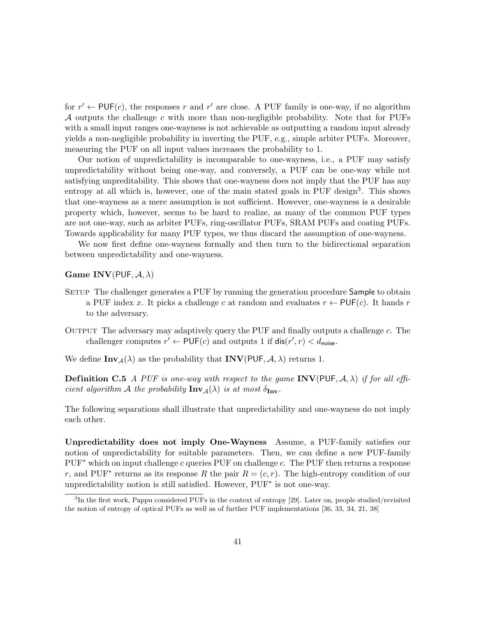for  $r' \leftarrow \text{PUF}(c)$ , the responses r and r' are close. A PUF family is one-way, if no algorithm A outputs the challenge c with more than non-negligible probability. Note that for PUFs with a small input ranges one-wayness is not achievable as outputting a random input already yields a non-negligible probability in inverting the PUF, e.g., simple arbiter PUFs. Moreover, measuring the PUF on all input values increases the probability to 1.

Our notion of unpredictability is incomparable to one-wayness, i.e., a PUF may satisfy unpredictability without being one-way, and conversely, a PUF can be one-way while not satisfying unpreditability. This shows that one-wayness does not imply that the PUF has any entropy at all which is, however, one of the main stated goals in PUF design<sup>3</sup>. This shows that one-wayness as a mere assumption is not sufficient. However, one-wayness is a desirable property which, however, seems to be hard to realize, as many of the common PUF types are not one-way, such as arbiter PUFs, ring-oscillator PUFs, SRAM PUFs and coating PUFs. Towards applicability for many PUF types, we thus discard the assumption of one-wayness.

We now first define one-wayness formally and then turn to the bidirectional separation between unpredictability and one-wayness.

Game INV(PUF,  $A, \lambda$ )

- SETUP The challenger generates a PUF by running the generation procedure Sample to obtain a PUF index x. It picks a challenge c at random and evaluates  $r \leftarrow \text{PUF}(c)$ . It hands r to the adversary.
- Output The adversary may adaptively query the PUF and finally outputs a challenge c. The challenger computes  $r' \leftarrow \text{PUF}(c)$  and outputs 1 if  $\text{dis}(r', r) < d_{\text{noise}}$ .

We define  $\text{Inv}_{\mathcal{A}}(\lambda)$  as the probability that  $\text{INV}(\text{PUF}, \mathcal{A}, \lambda)$  returns 1.

**Definition C.5** A PUF is one-way with respect to the game **INV**(PUF,  $A$ ,  $\lambda$ ) if for all efficient algorithm A the probability  $\text{Inv}_{\mathcal{A}}(\lambda)$  is at most  $\delta_{\text{Inv}}$ .

The following separations shall illustrate that unpredictability and one-wayness do not imply each other.

Unpredictability does not imply One-Wayness Assume, a PUF-family satisfies our notion of unpredictability for suitable parameters. Then, we can define a new PUF-family PUF<sup> $*$ </sup> which on input challenge c queries PUF on challenge c. The PUF then returns a response r, and PUF<sup>\*</sup> returns as its response R the pair  $R = (c, r)$ . The high-entropy condition of our unpredictability notion is still satisfied. However, PUF<sup>∗</sup> is not one-way.

<sup>&</sup>lt;sup>3</sup>In the first work, Pappu considered PUFs in the context of entropy [29]. Later on, people studied/revisited the notion of entropy of optical PUFs as well as of further PUF implementations [36, 33, 34, 21, 38]